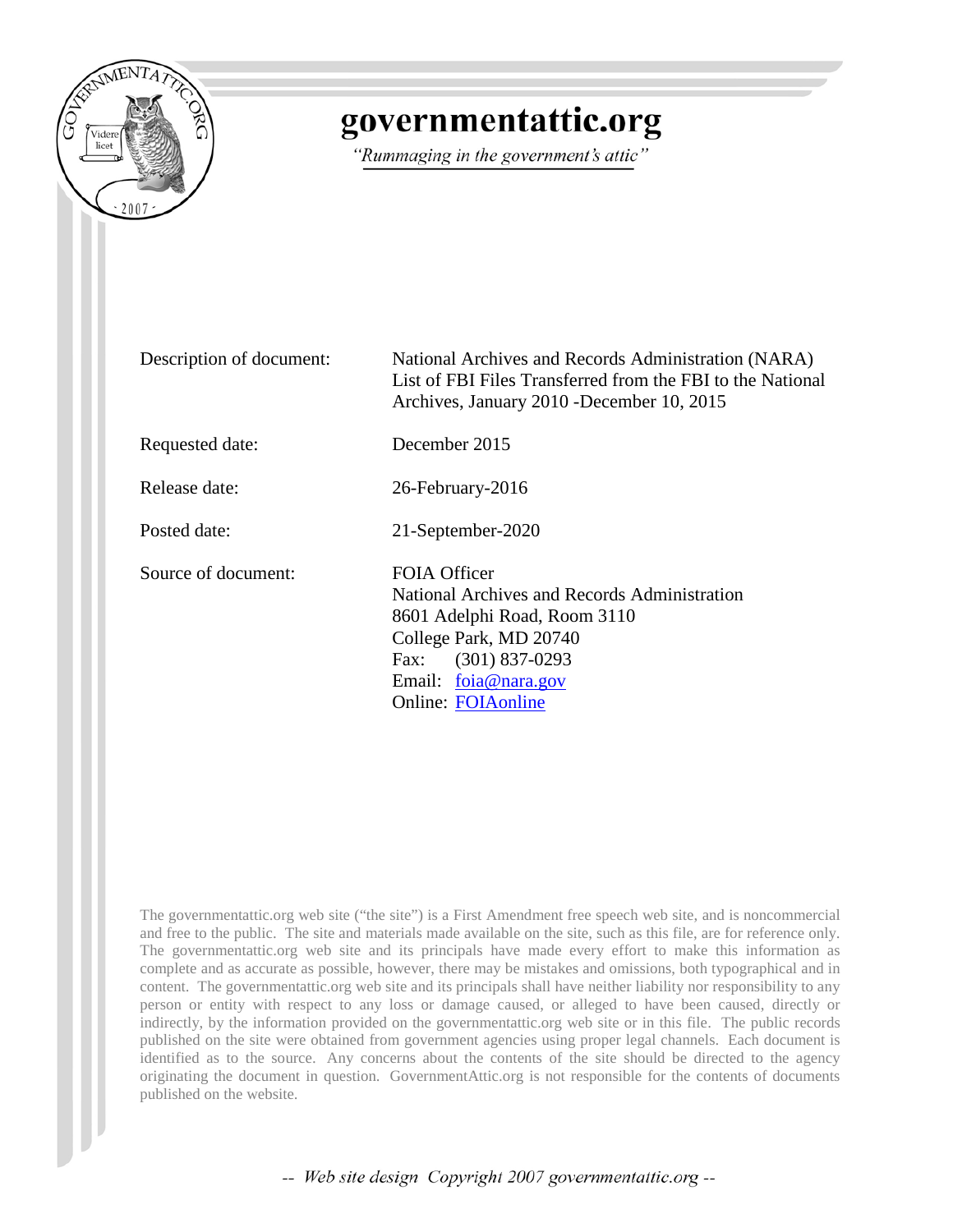

# governmentattic.org

"Rummaging in the government's attic"

Description of document: National Archives and Records Administration (NARA) List of FBI Files Transferred from the FBI to the National Archives, January 2010 -December 10, 2015 Requested date: December 2015 Release date: 26-February-2016 Posted date: 21-September-2020 Source of document: FOIA Officer National Archives and Records Administration 8601 Adelphi Road, Room 3110 College Park, MD 20740 Fax: (301) 837-0293 Email: [foia@nara.gov](mailto:foia@nara.gov) Online: [FOIAonline](https://foiaonline.gov/foiaonline/action/public/home)

The governmentattic.org web site ("the site") is a First Amendment free speech web site, and is noncommercial and free to the public. The site and materials made available on the site, such as this file, are for reference only. The governmentattic.org web site and its principals have made every effort to make this information as complete and as accurate as possible, however, there may be mistakes and omissions, both typographical and in content. The governmentattic.org web site and its principals shall have neither liability nor responsibility to any person or entity with respect to any loss or damage caused, or alleged to have been caused, directly or indirectly, by the information provided on the governmentattic.org web site or in this file. The public records published on the site were obtained from government agencies using proper legal channels. Each document is identified as to the source. Any concerns about the contents of the site should be directed to the agency originating the document in question. GovernmentAttic.org is not responsible for the contents of documents published on the website.

-- Web site design Copyright 2007 governmentattic.org --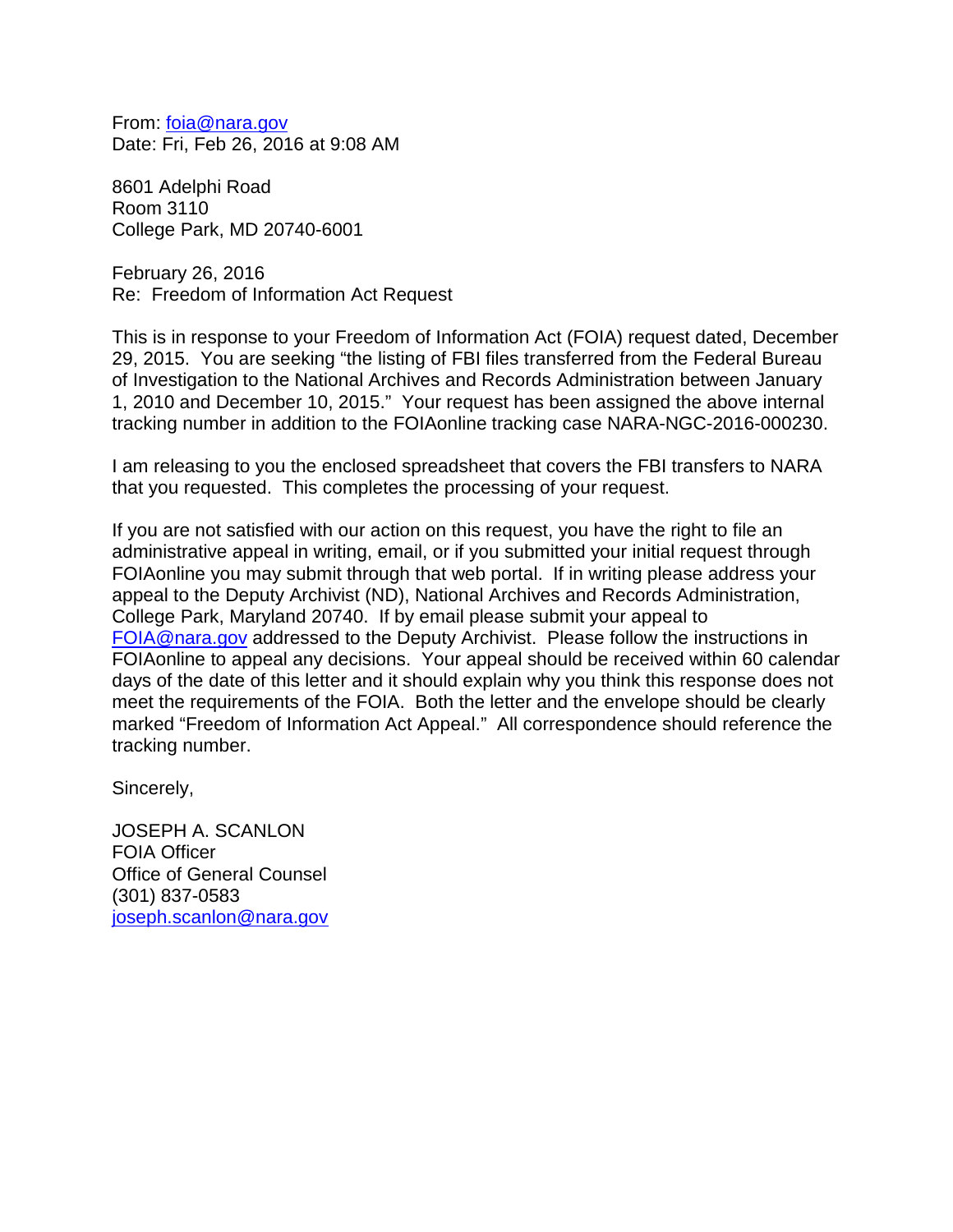From: [foia@nara.gov](mailto:foia@nara.gov) Date: Fri, Feb 26, 2016 at 9:08 AM

8601 Adelphi Road Room 3110 College Park, MD 20740-6001

February 26, 2016 Re: Freedom of Information Act Request

This is in response to your Freedom of Information Act (FOIA) request dated, December 29, 2015. You are seeking "the listing of FBI files transferred from the Federal Bureau of Investigation to the National Archives and Records Administration between January 1, 2010 and December 10, 2015." Your request has been assigned the above internal tracking number in addition to the FOIAonline tracking case NARA-NGC-2016-000230.

I am releasing to you the enclosed spreadsheet that covers the FBI transfers to NARA that you requested. This completes the processing of your request.

If you are not satisfied with our action on this request, you have the right to file an administrative appeal in writing, email, or if you submitted your initial request through FOIAonline you may submit through that web portal. If in writing please address your appeal to the Deputy Archivist (ND), National Archives and Records Administration, College Park, Maryland 20740. If by email please submit your appeal to [FOIA@nara.gov](mailto:FOIA@nara.gov) addressed to the Deputy Archivist. Please follow the instructions in FOIAonline to appeal any decisions. Your appeal should be received within 60 calendar days of the date of this letter and it should explain why you think this response does not meet the requirements of the FOIA. Both the letter and the envelope should be clearly marked "Freedom of Information Act Appeal." All correspondence should reference the tracking number.

Sincerely,

JOSEPH A. SCANLON FOIA Officer Office of General Counsel (301) 837-0583 [joseph.scanlon@nara.gov](mailto:joseph.scanlon@nara.gov)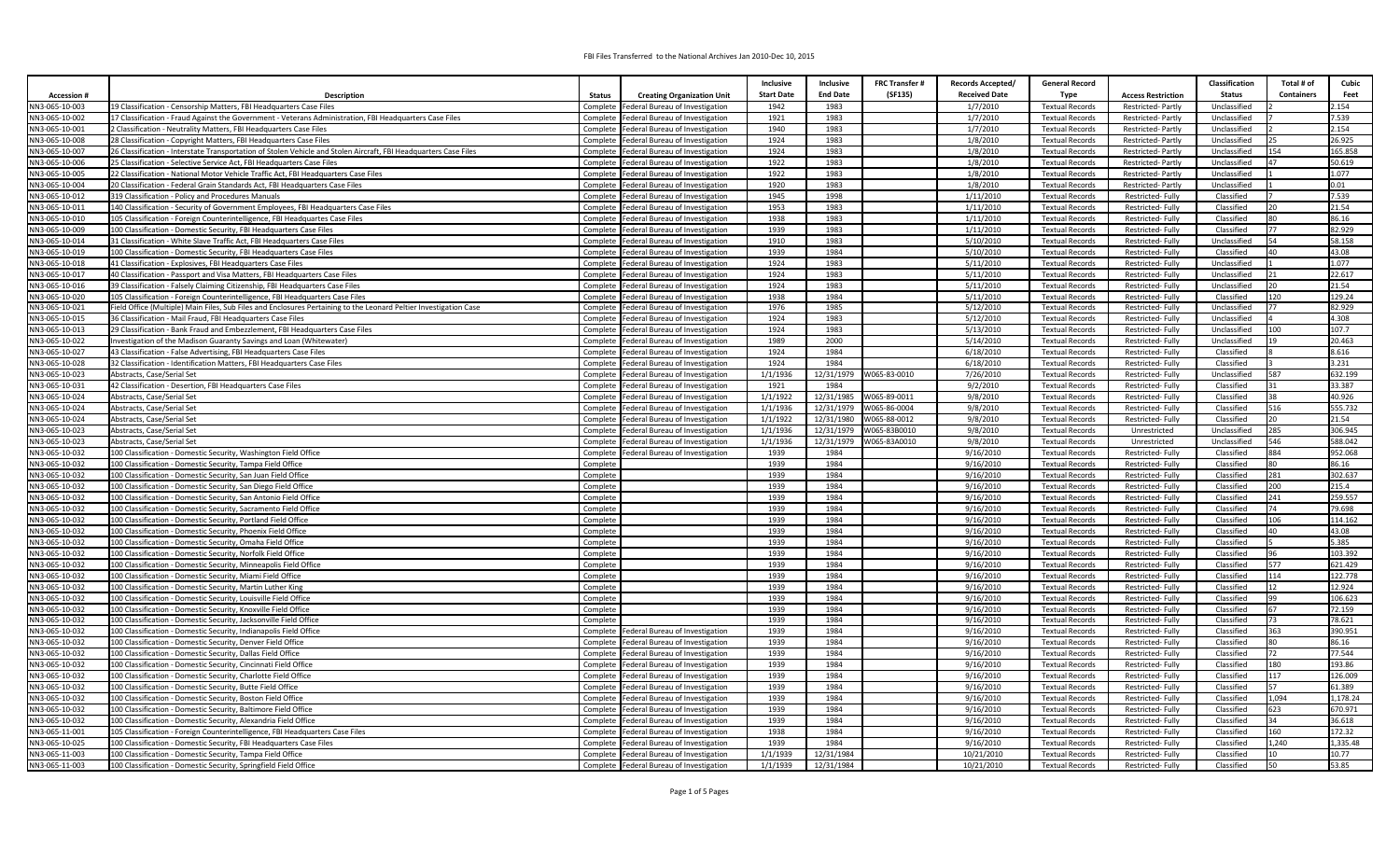|                                  |                                                                                                                               |                                                                             | Inclusive         | Inclusive          | <b>FRC Transfer#</b>         | Records Accepted/    | <b>General Record</b>                            |                                  | Classification               | Total # of        | Cubic              |
|----------------------------------|-------------------------------------------------------------------------------------------------------------------------------|-----------------------------------------------------------------------------|-------------------|--------------------|------------------------------|----------------------|--------------------------------------------------|----------------------------------|------------------------------|-------------------|--------------------|
| <b>Accession#</b>                | Description                                                                                                                   | <b>Status</b><br><b>Creating Organization Unit</b>                          | <b>Start Date</b> | <b>End Date</b>    | (SF135)                      | <b>Received Date</b> | <b>Type</b>                                      | <b>Access Restriction</b>        | <b>Status</b>                | <b>Containers</b> | Feet               |
| NN3-065-10-003                   | 19 Classification - Censorship Matters, FBI Headquarters Case Files                                                           | Complete Federal Bureau of Investigation                                    | 1942              | 1983               |                              | 1/7/2010             | <b>Textual Records</b>                           | Restricted-Partly                | Unclassified                 |                   | 2.154              |
| NN3-065-10-002                   | 17 Classification - Fraud Against the Government - Veterans Administration, FBI Headquarters Case Files                       | Complete Federal Bureau of Investigation                                    | 1921              | 1983               |                              | 1/7/2010             | <b>Textual Records</b>                           | Restricted-Partly                | Unclassified                 |                   | 7.539              |
| NN3-065-10-001                   | 2 Classification - Neutrality Matters, FBI Headquarters Case Files                                                            | Complete Federal Bureau of Investigation                                    | 1940              | 1983               |                              | 1/7/2010             | <b>Textual Records</b>                           | Restricted-Partly                | Unclassified                 |                   | 2.154              |
| NN3-065-10-008                   | 28 Classification - Copyright Matters, FBI Headquarters Case Files                                                            | Complete   Federal Bureau of Investigation                                  | 1924              | 1983               |                              | 1/8/2010             | <b>Textual Records</b>                           | Restricted-Partly                | Unclassified                 |                   | 26.925             |
| NN3-065-10-007                   | 26 Classification - Interstate Transportation of Stolen Vehicle and Stolen Aircraft, FBI Headquarters Case Files              | Complete   Federal Bureau of Investigation                                  | 1924              | 1983               |                              | 1/8/2010             | <b>Textual Records</b>                           | Restricted-Partly                | Unclassified                 | 54                | 165.858            |
| NN3-065-10-006                   | 25 Classification - Selective Service Act, FBI Headquarters Case Files                                                        | Complete Federal Bureau of Investigation                                    | 1922              | 1983               |                              | 1/8/2010             | <b>Textual Records</b>                           | Restricted-Partly                | Unclassified                 |                   | 50.619             |
| NN3-065-10-005                   | 22 Classification - National Motor Vehicle Traffic Act, FBI Headquarters Case Files                                           | Complete   Federal Bureau of Investigation                                  | 1922              | 1983               |                              | 1/8/2010             | <b>Textual Records</b>                           | Restricted-Partly                | Unclassified                 |                   | 1.077              |
| NN3-065-10-004                   | 20 Classification - Federal Grain Standards Act. FBI Headquarters Case Files                                                  | Complete   Federal Bureau of Investigation                                  | 1920              | 1983               |                              | 1/8/2010             | <b>Textual Records</b>                           | <b>Restricted-Partly</b>         | Unclassified                 |                   | 0.01               |
| NN3-065-10-012                   | 319 Classification - Policy and Procedures Manuals                                                                            | Complete Federal Bureau of Investigation                                    | 1945              | 1998               |                              | 1/11/2010            | <b>Textual Records</b>                           | Restricted-Fully                 | Classified                   |                   | 7.539              |
| NN3-065-10-011                   | 140 Classification - Security of Government Employees, FBI Headquarters Case Files                                            | Complete   Federal Bureau of Investigation                                  | 1953              | 1983               |                              | 1/11/2010            | <b>Textual Records</b>                           | Restricted-Fully                 | Classified                   |                   | 21.54              |
| NN3-065-10-010                   | 105 Classification - Foreign Counterintelligence, FBI Headquartes Case Files                                                  | Complete Federal Bureau of Investigation                                    | 1938              | 1983               |                              | 1/11/2010            | <b>Textual Records</b>                           | Restricted-Fully                 | Classified                   | 80                | 86.16              |
| NN3-065-10-009                   | 100 Classification - Domestic Security, FBI Headquarters Case Files                                                           | Complete Federal Bureau of Investigation                                    | 1939              | 1983               |                              | 1/11/2010            | <b>Textual Records</b>                           | Restricted-Fully                 | Classified                   | 77                | 82.929             |
| IN3-065-10-014                   | 31 Classification - White Slave Traffic Act, FBI Headquarters Case Files                                                      | Complete Federal Bureau of Investigation                                    | 1910              | 1983               |                              | 5/10/2010            | <b>Textual Records</b>                           | Restricted-Fully                 | Unclassified                 |                   | 58.158             |
| NN3-065-10-019                   | 100 Classification - Domestic Security, FBI Headquarters Case Files                                                           | Complete   Federal Bureau of Investigation                                  | 1939              | 1984               |                              | 5/10/2010            | <b>Textual Records</b>                           | Restricted-Fully                 | Classified                   | 40                | 43.08              |
| NN3-065-10-018                   | 41 Classification - Explosives, FBI Headquarters Case Files                                                                   | Complete   Federal Bureau of Investigation                                  | 1924              | 1983               |                              | 5/11/2010            | <b>Textual Records</b>                           | Restricted-Fully                 | Unclassified                 |                   | 1.077              |
| NN3-065-10-017                   | 40 Classification - Passport and Visa Matters, FBI Headquarters Case Files                                                    | Complete Federal Bureau of Investigation                                    | 1924              | 1983               |                              | 5/11/2010            | <b>Textual Records</b>                           | Restricted-Fully                 | Unclassified                 |                   | 22.617             |
| NN3-065-10-016                   | 39 Classification - Falsely Claiming Citizenship, FBI Headquarters Case Files                                                 | Complete   Federal Bureau of Investigation                                  | 1924              | 1983               |                              | 5/11/2010            | <b>Textual Records</b>                           | Restricted-Fully                 | Unclassified                 | 20                | 21.54              |
| NN3-065-10-020                   | 105 Classification - Foreign Counterintelligence, FBI Headquarters Case Files                                                 | Complete   Federal Bureau of Investigation                                  | 1938              | 1984               |                              | 5/11/2010            | <b>Textual Records</b>                           | Restricted-Fully                 | Classified                   | 120               | 129.24             |
| NN3-065-10-021                   | Field Office (Multiple) Main Files, Sub Files and Enclosures Pertaining to the Leonard Peltier Investigation Case             | Complete Federal Bureau of Investigation                                    | 1976              | 1985               |                              | 5/12/2010            | <b>Textual Records</b>                           | Restricted-Fully                 | Unclassified                 |                   | 82.929             |
| NN3-065-10-015                   | 36 Classification - Mail Fraud, FBI Headquarters Case Files                                                                   | Complete   Federal Bureau of Investigation                                  | 1924              | 1983               |                              | 5/12/2010            | <b>Textual Records</b>                           | Restricted-Fully                 | Unclassified                 |                   | 4.308              |
| NN3-065-10-013                   | 29 Classification - Bank Fraud and Embezzlement, FBI Headquarters Case Files                                                  | Complete Federal Bureau of Investigation                                    | 1924              | 1983               |                              | 5/13/2010            | <b>Textual Records</b>                           | Restricted-Fully                 | Unclassified                 | n                 | 107.7              |
| NN3-065-10-022                   | Investigation of the Madison Guaranty Savings and Loan (Whitewater)                                                           | Complete Federal Bureau of Investigation                                    | 1989              | 2000               |                              | 5/14/2010            | <b>Textual Records</b>                           | Restricted-Fully                 | Unclassified                 |                   | 20.463             |
| NN3-065-10-027                   | 43 Classification - False Advertising, FBI Headquarters Case Files                                                            | Complete Federal Bureau of Investigation                                    | 1924              | 1984               |                              | 6/18/2010            | <b>Textual Records</b>                           | Restricted-Fully                 | Classified                   |                   | 8.616              |
| NN3-065-10-028                   | 32 Classification - Identification Matters, FBI Headquarters Case Files                                                       | Complete Federal Bureau of Investigation                                    | 1924              | 1984               |                              | 6/18/2010            | <b>Textual Records</b>                           | Restricted-Fully                 | Classified                   | 587               | 3.231              |
| NN3-065-10-023                   | Abstracts, Case/Serial Set                                                                                                    | Complete Federal Bureau of Investigation                                    | 1/1/1936          | 12/31/1979         | W065-83-0010                 | 7/26/2010            | <b>Textual Records</b>                           | Restricted-Fully                 | Unclassified                 |                   | 632.199            |
| NN3-065-10-031                   | 42 Classification - Desertion, FBI Headquarters Case Files                                                                    | Complete Federal Bureau of Investigation                                    | 1921              | 1984               |                              | 9/2/2010             | <b>Textual Records</b>                           | Restricted-Fully                 | Classified                   | 31                | 33.387             |
| NN3-065-10-024                   | Abstracts, Case/Serial Set                                                                                                    | Complete   Federal Bureau of Investigation                                  | 1/1/1922          | 12/31/1985         | W065-89-0011                 | 9/8/2010             | <b>Textual Records</b>                           | Restricted-Fully                 | Classified                   | 38                | 40.926             |
| NN3-065-10-024                   | Abstracts, Case/Serial Set                                                                                                    | Complete<br>Federal Bureau of Investigation                                 | 1/1/1936          | 12/31/1979         | W065-86-0004                 | 9/8/2010<br>9/8/2010 | <b>Textual Records</b>                           | Restricted-Fully                 | Classified                   | 516               | 555.732<br>21.54   |
| NN3-065-10-024                   | Abstracts, Case/Serial Set                                                                                                    | Complete   Federal Bureau of Investigation                                  | 1/1/1922          | 12/31/1980         | W065-88-0012                 |                      | <b>Textual Records</b>                           | Restricted-Fully                 | Classified                   | 285               |                    |
| NN3-065-10-023<br>NN3-065-10-023 | Abstracts, Case/Serial Set                                                                                                    | Federal Bureau of Investigation<br>Complete                                 | 1/1/1936          | 12/31/1979         | W065-83B0010<br>W065-83A0010 | 9/8/2010<br>9/8/2010 | <b>Textual Records</b><br><b>Textual Records</b> | Unrestricted                     | Unclassified<br>Unclassified | 546               | 306.945<br>588.042 |
| NN3-065-10-032                   | Abstracts, Case/Serial Set                                                                                                    | Complete Federal Bureau of Investigation<br>Federal Bureau of Investigation | 1/1/1936<br>1939  | 12/31/1979<br>1984 |                              | 9/16/2010            | <b>Textual Records</b>                           | Unrestricted<br>Restricted-Fully | Classified                   | 884               | 952.068            |
| NN3-065-10-032                   | 100 Classification - Domestic Security, Washington Field Office<br>100 Classification - Domestic Security, Tampa Field Office | Complete<br>Complete                                                        | 1939              | 1984               |                              | 9/16/2010            | <b>Textual Records</b>                           | Restricted-Fully                 | Classified                   | 80                | 86.16              |
| NN3-065-10-032                   | 100 Classification - Domestic Security, San Juan Field Office                                                                 | Complete                                                                    | 1939              | 1984               |                              | 9/16/2010            | <b>Textual Records</b>                           | Restricted-Fully                 | Classified                   | 281               | 302.637            |
| NN3-065-10-032                   | 100 Classification - Domestic Security, San Diego Field Office                                                                | Complete                                                                    | 1939              | 1984               |                              | 9/16/2010            | <b>Textual Records</b>                           | Restricted-Fully                 | Classified                   | 200               | 215.4              |
| NN3-065-10-032                   | 100 Classification - Domestic Security, San Antonio Field Office                                                              | Complete                                                                    | 1939              | 1984               |                              | 9/16/2010            | <b>Textual Records</b>                           | Restricted-Fully                 | Classified                   | 241               | 259.557            |
| NN3-065-10-032                   | 100 Classification - Domestic Security, Sacramento Field Office                                                               | Complete                                                                    | 1939              | 1984               |                              | 9/16/2010            | <b>Textual Records</b>                           | Restricted-Fully                 | Classified                   | 74                | 79.698             |
| NN3-065-10-032                   | 100 Classification - Domestic Security, Portland Field Office                                                                 | Complete                                                                    | 1939              | 1984               |                              | 9/16/2010            | <b>Textual Records</b>                           | Restricted-Fully                 | Classified                   | 106               | 114.162            |
| NN3-065-10-032                   | 100 Classification - Domestic Security, Phoenix Field Office                                                                  | Complete                                                                    | 1939              | 1984               |                              | 9/16/2010            | <b>Textual Records</b>                           | Restricted-Fully                 | Classified                   | 40                | 43.08              |
| NN3-065-10-032                   | 100 Classification - Domestic Security, Omaha Field Office                                                                    | Complete                                                                    | 1939              | 1984               |                              | 9/16/2010            | <b>Textual Records</b>                           | Restricted-Fully                 | Classified                   |                   | 5.385              |
| NN3-065-10-032                   | 100 Classification - Domestic Security, Norfolk Field Office                                                                  | Complete                                                                    | 1939              | 1984               |                              | 9/16/2010            | <b>Textual Records</b>                           | Restricted-Fully                 | Classified                   |                   | 103.392            |
| NN3-065-10-032                   | 100 Classification - Domestic Security, Minneapolis Field Office                                                              | Complete                                                                    | 1939              | 1984               |                              | 9/16/2010            | <b>Textual Records</b>                           | Restricted-Fully                 | Classified                   | 577               | 621.429            |
| NN3-065-10-032                   | 100 Classification - Domestic Security, Miami Field Office                                                                    | Complete                                                                    | 1939              | 1984               |                              | 9/16/2010            | <b>Textual Records</b>                           | Restricted-Fully                 | Classified                   | 114               | 122.778            |
| NN3-065-10-032                   | 100 Classification - Domestic Security, Martin Luther King                                                                    | Complete                                                                    | 1939              | 1984               |                              | 9/16/2010            | <b>Textual Records</b>                           | Restricted-Fully                 | Classified                   |                   | 12.924             |
| NN3-065-10-032                   | 100 Classification - Domestic Security, Louisville Field Office                                                               | Complete                                                                    | 1939              | 1984               |                              | 9/16/2010            | <b>Textual Records</b>                           | Restricted-Fully                 | Classified                   | 199               | 106.623            |
| NN3-065-10-032                   | 100 Classification - Domestic Security, Knoxville Field Office                                                                | Complete                                                                    | 1939              | 1984               |                              | 9/16/2010            | <b>Textual Records</b>                           | Restricted-Fully                 | Classified                   |                   | 72.159             |
| NN3-065-10-032                   | 100 Classification - Domestic Security, Jacksonville Field Office                                                             | Complete                                                                    | 1939              | 1984               |                              | 9/16/2010            | <b>Textual Records</b>                           | Restricted-Fully                 | Classified                   | 73                | 78.621             |
| NN3-065-10-032                   | 100 Classification - Domestic Security, Indianapolis Field Office                                                             | Complete Federal Bureau of Investigation                                    | 1939              | 1984               |                              | 9/16/2010            | <b>Textual Records</b>                           | Restricted-Fully                 | Classified                   | 363               | 390.951            |
| NN3-065-10-032                   | 100 Classification - Domestic Security, Denver Field Office                                                                   | Complete Federal Bureau of Investigation                                    | 1939              | 1984               |                              | 9/16/2010            | <b>Textual Records</b>                           | Restricted-Fully                 | Classified                   | 80                | 86.16              |
| NN3-065-10-032                   | 100 Classification - Domestic Security, Dallas Field Office                                                                   | Complete   Federal Bureau of Investigation                                  | 1939              | 1984               |                              | 9/16/2010            | <b>Textual Records</b>                           | Restricted-Fully                 | Classified                   |                   | 77.544             |
| NN3-065-10-032                   | 100 Classification - Domestic Security, Cincinnati Field Office                                                               | Complete   Federal Bureau of Investigation                                  | 1939              | 1984               |                              | 9/16/2010            | <b>Textual Records</b>                           | Restricted-Fully                 | Classified                   | 180               | 193.86             |
| NN3-065-10-032                   | 100 Classification - Domestic Security, Charlotte Field Office                                                                | Complete Federal Bureau of Investigation                                    | 1939              | 1984               |                              | 9/16/2010            | <b>Textual Records</b>                           | Restricted-Fully                 | Classified                   | 117               | 126.009            |
| NN3-065-10-032                   | 100 Classification - Domestic Security, Butte Field Office                                                                    | Complete<br>Federal Bureau of Investigation                                 | 1939              | 1984               |                              | 9/16/2010            | <b>Textual Records</b>                           | Restricted-Fully                 | Classified                   | 57                | 61.389             |
| VN3-065-10-032                   | 100 Classification - Domestic Security, Boston Field Office                                                                   | Complete   Federal Bureau of Investigation                                  | 1939              | 1984               |                              | 9/16/2010            | <b>Textual Records</b>                           | Restricted-Fully                 | Classified                   | ,094              | 1,178.24           |
| NN3-065-10-032                   | 100 Classification - Domestic Security, Baltimore Field Office                                                                | Federal Bureau of Investigation<br>Complete                                 | 1939              | 1984               |                              | 9/16/2010            | <b>Textual Records</b>                           | Restricted-Fully                 | Classified                   | 623               | 670.971            |
| NN3-065-10-032                   | 100 Classification - Domestic Security, Alexandria Field Office                                                               | Complete   Federal Bureau of Investigation                                  | 1939              | 1984               |                              | 9/16/2010            | <b>Textual Records</b>                           | Restricted-Fully                 | Classified                   | 34                | 36.618             |
| NN3-065-11-001                   | 105 Classification - Foreign Counterintelligence, FBI Headquarters Case Files                                                 | Complete Federal Bureau of Investigation                                    | 1938              | 1984               |                              | 9/16/2010            | <b>Textual Records</b>                           | Restricted-Fully                 | Classified                   | 160               | 172.32             |
| NN3-065-10-025                   | 100 Classification - Domestic Security, FBI Headquarters Case Files                                                           | Complete   Federal Bureau of Investigation                                  | 1939              | 1984               |                              | 9/16/2010            | <b>Textual Records</b>                           | Restricted-Fully                 | Classified                   | 1.240             | 1,335.48           |
| VN3-065-11-003                   | 100 Classification - Domestic Security, Tampa Field Office                                                                    | Complete   Federal Bureau of Investigation                                  | 1/1/1939          | 12/31/1984         |                              | 10/21/2010           | <b>Textual Records</b>                           | Restricted-Fully                 | Classified                   |                   | 10.77              |
| NN3-065-11-003                   | 100 Classification - Domestic Security, Springfield Field Office                                                              | Complete Federal Bureau of Investigation                                    | 1/1/1939          | 12/31/1984         |                              | 10/21/2010           | <b>Textual Records</b>                           | Restricted-Fully                 | Classified                   | 50                | 53.85              |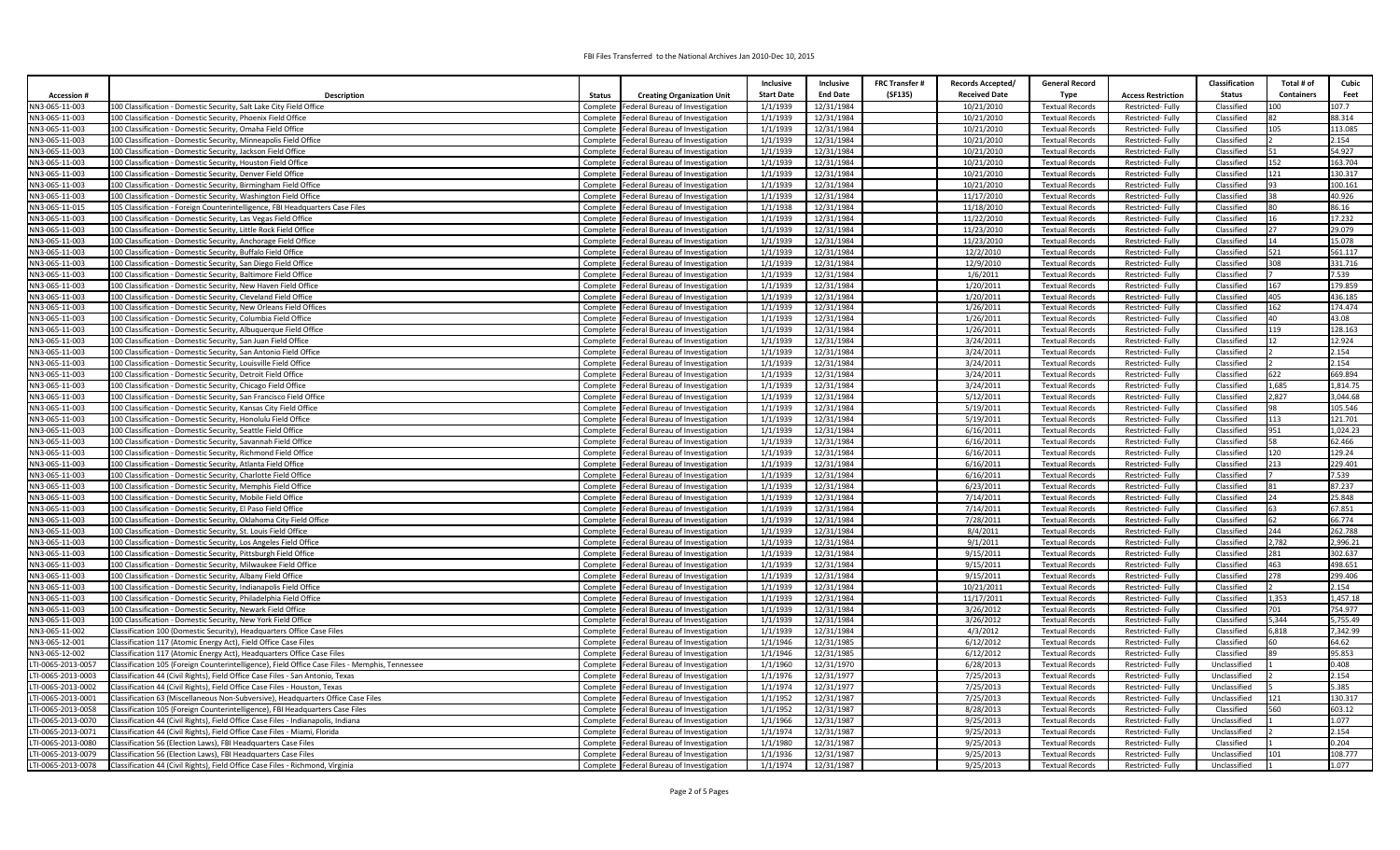|                                         |                                                                                                                                                                    |          |                                                                                          | Inclusive            | Inclusive                | <b>FRC Transfer #</b> | <b>Records Accepted/</b> | <b>General Record</b>                            |                                      | Classification             | Total # of        | Cubic             |
|-----------------------------------------|--------------------------------------------------------------------------------------------------------------------------------------------------------------------|----------|------------------------------------------------------------------------------------------|----------------------|--------------------------|-----------------------|--------------------------|--------------------------------------------------|--------------------------------------|----------------------------|-------------------|-------------------|
| <b>Accession#</b>                       | Description                                                                                                                                                        | Status   | <b>Creating Organization Unit</b>                                                        | <b>Start Date</b>    | <b>End Date</b>          | (SF135)               | <b>Received Date</b>     | Type                                             | <b>Access Restriction</b>            | <b>Status</b>              | <b>Containers</b> | Feet              |
| NN3-065-11-003                          | 100 Classification - Domestic Security, Salt Lake City Field Office                                                                                                |          | Complete   Federal Bureau of Investigation                                               | 1/1/1939             | 12/31/1984               |                       | 10/21/2010               | <b>Textual Records</b>                           | Restricted-Fully                     | Classified                 | 00                | 107.7             |
| NN3-065-11-003                          | 100 Classification - Domestic Security, Phoenix Field Office                                                                                                       | Complete | Federal Bureau of Investigation                                                          | 1/1/1939             | 12/31/1984               |                       | 10/21/2010               | <b>Textual Records</b>                           | Restricted-Fully                     | Classified                 | 82                | 88.314            |
| NN3-065-11-003                          | 100 Classification - Domestic Security, Omaha Field Office                                                                                                         |          | Complete   Federal Bureau of Investigation                                               | 1/1/1939             | 12/31/1984               |                       | 10/21/2010               | <b>Textual Records</b>                           | Restricted-Fully                     | Classified                 | 105               | 113.085           |
| NN3-065-11-003                          | 100 Classification - Domestic Security, Minneapolis Field Office                                                                                                   |          | Complete   Federal Bureau of Investigation                                               | 1/1/1939             | 12/31/1984               |                       | 10/21/2010               | <b>Textual Records</b>                           | Restricted-Fully                     | Classified                 |                   | 2.154             |
| NN3-065-11-003                          | 100 Classification - Domestic Security, Jackson Field Office                                                                                                       |          | Complete   Federal Bureau of Investigation                                               | 1/1/1939             | 12/31/1984               |                       | 10/21/2010               | <b>Textual Records</b>                           | Restricted-Fully                     | Classified                 |                   | 54.927            |
| NN3-065-11-003                          | 100 Classification - Domestic Security, Houston Field Office                                                                                                       |          | Complete   Federal Bureau of Investigation                                               | 1/1/1939             | 12/31/1984               |                       | 10/21/2010               | <b>Textual Records</b>                           | Restricted-Fully                     | Classified                 | 152               | 163.704           |
| NN3-065-11-003                          | 100 Classification - Domestic Security, Denver Field Office                                                                                                        |          | Complete Federal Bureau of Investigation                                                 | 1/1/1939             | 12/31/1984               |                       | 10/21/2010               | <b>Textual Records</b>                           | Restricted-Fully                     | Classified                 | 121               | 130.317           |
| NN3-065-11-003                          | 100 Classification - Domestic Security, Birmingham Field Office                                                                                                    |          | Complete   Federal Bureau of Investigation                                               | 1/1/1939             | 12/31/1984               |                       | 10/21/2010               | <b>Textual Records</b>                           | Restricted-Fully                     | Classified                 |                   | 100.161           |
| NN3-065-11-003                          | 100 Classification - Domestic Security, Washington Field Office                                                                                                    |          | Complete Federal Bureau of Investigation                                                 | 1/1/1939             | 12/31/1984               |                       | 11/17/2010               | <b>Textual Records</b>                           | Restricted-Fully                     | Classified                 | 38                | 40.926            |
| NN3-065-11-015                          | 105 Classification - Foreign Counterintelligence, FBI Headquarters Case Files                                                                                      |          | Complete   Federal Bureau of Investigation                                               | 1/1/1938             | 12/31/1984               |                       | 11/18/2010               | <b>Textual Records</b>                           | Restricted-Fully                     | Classified                 | lan               | 86.16             |
| NN3-065-11-003                          | 100 Classification - Domestic Security, Las Vegas Field Office                                                                                                     |          | Complete   Federal Bureau of Investigation                                               | 1/1/1939             | 12/31/1984               |                       | 11/22/2010               | <b>Textual Records</b>                           | Restricted-Fully                     | Classified                 |                   | 17.232<br>29.079  |
| NN3-065-11-003                          | 100 Classification - Domestic Security, Little Rock Field Office                                                                                                   |          | Complete Federal Bureau of Investigation                                                 | 1/1/1939             | 12/31/1984               |                       | 11/23/2010               | <b>Textual Records</b>                           | Restricted-Fully                     | Classified<br>Classified   | 27                | 15.078            |
| NN3-065-11-003<br>NN3-065-11-003        | 100 Classification - Domestic Security, Anchorage Field Office<br>100 Classification - Domestic Security, Buffalo Field Office                                     |          | Complete   Federal Bureau of Investigation<br>Complete   Federal Bureau of Investigation | 1/1/1939<br>1/1/1939 | 12/31/1984<br>12/31/1984 |                       | 11/23/2010<br>12/2/2010  | <b>Textual Records</b><br><b>Textual Records</b> | Restricted-Fully<br>Restricted-Fully | Classified                 | 521               | 561.117           |
| NN3-065-11-003                          | 100 Classification - Domestic Security, San Diego Field Office                                                                                                     |          | Complete   Federal Bureau of Investigation                                               | 1/1/1939             | 12/31/1984               |                       | 12/9/2010                | <b>Textual Records</b>                           | Restricted-Fully                     | Classified                 | 308               | 331.716           |
| NN3-065-11-003                          | 100 Classification - Domestic Security, Baltimore Field Office                                                                                                     |          | Complete Federal Bureau of Investigation                                                 | 1/1/1939             | 12/31/1984               |                       | 1/6/2011                 | <b>Textual Records</b>                           | Restricted-Fully                     | Classified                 |                   | 7.539             |
| NN3-065-11-003                          | 100 Classification - Domestic Security, New Haven Field Office                                                                                                     |          | Complete   Federal Bureau of Investigation                                               | 1/1/1939             | 12/31/1984               |                       | 1/20/2011                | <b>Textual Records</b>                           | Restricted-Fully                     | Classified                 | 167               | 179.859           |
| NN3-065-11-003                          | 100 Classification - Domestic Security, Cleveland Field Office                                                                                                     |          | Complete   Federal Bureau of Investigation                                               | 1/1/1939             | 12/31/1984               |                       | 1/20/2011                | <b>Textual Records</b>                           | Restricted-Fully                     | Classified                 | 405               | 436.185           |
| NN3-065-11-003                          | 100 Classification - Domestic Security, New Orleans Field Offices                                                                                                  |          | Complete Federal Bureau of Investigation                                                 | 1/1/1939             | 12/31/1984               |                       | 1/26/2011                | <b>Textual Records</b>                           | Restricted-Fully                     | Classified                 | 162               | 174.474           |
| NN3-065-11-003                          | 100 Classification - Domestic Security, Columbia Field Office                                                                                                      |          | Complete   Federal Bureau of Investigation                                               | 1/1/1939             | 12/31/1984               |                       | 1/26/2011                | <b>Textual Records</b>                           | Restricted-Fully                     | Classified                 | 40                | 43.08             |
| NN3-065-11-003                          | 100 Classification - Domestic Security, Albuquerque Field Office                                                                                                   |          | Complete   Federal Bureau of Investigation                                               | 1/1/1939             | 12/31/1984               |                       | 1/26/2011                | <b>Textual Records</b>                           | Restricted-Fully                     | Classified                 | 119               | 128.163           |
| NN3-065-11-003                          | 100 Classification - Domestic Security, San Juan Field Office                                                                                                      |          | Complete   Federal Bureau of Investigation                                               | 1/1/1939             | 12/31/1984               |                       | 3/24/2011                | <b>Textual Records</b>                           | Restricted-Fully                     | Classified                 |                   | 12.924            |
| NN3-065-11-003                          | 100 Classification - Domestic Security, San Antonio Field Office                                                                                                   |          | Complete   Federal Bureau of Investigation                                               | 1/1/1939             | 12/31/1984               |                       | 3/24/2011                | <b>Textual Records</b>                           | Restricted-Fully                     | Classified                 |                   | 2.154             |
| NN3-065-11-003                          | 100 Classification - Domestic Security, Louisville Field Office                                                                                                    |          | Complete   Federal Bureau of Investigation                                               | 1/1/1939             | 12/31/1984               |                       | 3/24/2011                | <b>Textual Records</b>                           | Restricted-Fully                     | Classified                 |                   | 2.154             |
| NN3-065-11-003                          | 100 Classification - Domestic Security, Detroit Field Office                                                                                                       |          | Complete   Federal Bureau of Investigation                                               | 1/1/1939             | 12/31/1984               |                       | 3/24/2011                | <b>Textual Records</b>                           | Restricted-Fully                     | Classified                 | 622               | 669.894           |
| NN3-065-11-003                          | 100 Classification - Domestic Security, Chicago Field Office                                                                                                       |          | Complete   Federal Bureau of Investigation                                               | 1/1/1939             | 12/31/1984               |                       | 3/24/2011                | <b>Textual Records</b>                           | Restricted-Fully                     | Classified                 | .685              | 1.814.75          |
| NN3-065-11-003                          | 100 Classification - Domestic Security, San Francisco Field Office                                                                                                 |          | Complete Federal Bureau of Investigation                                                 | 1/1/1939             | 12/31/1984               |                       | 5/12/2011                | <b>Textual Records</b>                           | Restricted-Fully                     | Classified                 | 2.827             | 3,044.68          |
| NN3-065-11-003                          | 100 Classification - Domestic Security, Kansas City Field Office                                                                                                   |          | Complete   Federal Bureau of Investigation                                               | 1/1/1939             | 12/31/1984               |                       | 5/19/2011                | <b>Textual Records</b>                           | Restricted-Fully                     | Classified                 |                   | 105.546           |
| NN3-065-11-003                          | 100 Classification - Domestic Security, Honolulu Field Office                                                                                                      |          | Complete   Federal Bureau of Investigation                                               | 1/1/1939             | 12/31/1984               |                       | 5/19/2011                | <b>Textual Records</b>                           | Restricted-Fully                     | Classified                 | 113               | 121.701           |
| NN3-065-11-003                          | 100 Classification - Domestic Security, Seattle Field Office                                                                                                       |          | Complete   Federal Bureau of Investigation                                               | 1/1/1939             | 12/31/1984               |                       | 6/16/2011                | <b>Textual Records</b>                           | Restricted-Fully                     | Classified                 | 951               | 1,024.23          |
| NN3-065-11-003                          | 100 Classification - Domestic Security, Savannah Field Office                                                                                                      |          | Complete   Federal Bureau of Investigation                                               | 1/1/1939             | 12/31/1984               |                       | 6/16/2011                | <b>Textual Records</b>                           | Restricted-Fully                     | Classified                 |                   | 62.466            |
| NN3-065-11-003                          | 100 Classification - Domestic Security, Richmond Field Office                                                                                                      |          | Complete   Federal Bureau of Investigation                                               | 1/1/1939             | 12/31/1984               |                       | 6/16/2011                | <b>Textual Records</b>                           | Restricted-Fully                     | Classified                 | 120               | 129.24            |
| NN3-065-11-003                          | 100 Classification - Domestic Security, Atlanta Field Office                                                                                                       |          | Complete   Federal Bureau of Investigation                                               | 1/1/1939             | 12/31/1984               |                       | 6/16/2011                | <b>Textual Records</b>                           | Restricted-Fully                     | Classified                 | 213               | 229.401           |
| NN3-065-11-003                          | 100 Classification - Domestic Security, Charlotte Field Office                                                                                                     |          | Complete Federal Bureau of Investigation                                                 | 1/1/1939             | 12/31/1984               |                       | 6/16/2011                | <b>Textual Records</b>                           | Restricted-Fully                     | Classified                 |                   | 7.539             |
| NN3-065-11-003                          | 100 Classification - Domestic Security, Memphis Field Office                                                                                                       |          | Complete   Federal Bureau of Investigation                                               | 1/1/1939             | 12/31/1984               |                       | 6/23/2011                | <b>Textual Records</b>                           | Restricted-Fully                     | Classified                 | R <sub>1</sub>    | 87.237            |
| NN3-065-11-003                          | 100 Classification - Domestic Security, Mobile Field Office                                                                                                        |          | Complete   Federal Bureau of Investigation                                               | 1/1/1939             | 12/31/1984               |                       | 7/14/2011                | <b>Textual Records</b>                           | Restricted-Fully                     | Classified                 |                   | 25.848            |
| NN3-065-11-003                          | 100 Classification - Domestic Security, El Paso Field Office                                                                                                       |          | Complete Federal Bureau of Investigation                                                 | 1/1/1939             | 12/31/1984               |                       | 7/14/2011                | <b>Textual Records</b>                           | Restricted-Fully                     | Classified                 | 63                | 67.851            |
| NN3-065-11-003                          | 100 Classification - Domestic Security, Oklahoma City Field Office                                                                                                 |          | Complete   Federal Bureau of Investigation                                               | 1/1/1939             | 12/31/1984               |                       | 7/28/2011                | <b>Textual Records</b>                           | Restricted-Fully                     | Classified                 | 62                | 66.774            |
| NN3-065-11-003                          | 100 Classification - Domestic Security, St. Louis Field Office                                                                                                     |          | Complete   Federal Bureau of Investigation                                               | 1/1/1939             | 12/31/1984               |                       | 8/4/2011                 | <b>Textual Records</b>                           | Restricted-Fully                     | Classified                 | 244               | 262.788           |
| NN3-065-11-003                          | 100 Classification - Domestic Security, Los Angeles Field Office                                                                                                   |          | Complete   Federal Bureau of Investigation                                               | 1/1/1939             | 12/31/1984               |                       | 9/1/2011                 | <b>Textual Records</b>                           | Restricted-Fully                     | Classified                 | 2,782             | 2,996.21          |
| NN3-065-11-003                          | 100 Classification - Domestic Security, Pittsburgh Field Office                                                                                                    |          | Complete Federal Bureau of Investigation                                                 | 1/1/1939             | 12/31/1984               |                       | 9/15/2011                | <b>Textual Records</b>                           | Restricted-Fully                     | Classified                 | 281               | 302.637           |
| NN3-065-11-003                          | 100 Classification - Domestic Security, Milwaukee Field Office                                                                                                     |          | Complete   Federal Bureau of Investigation                                               | 1/1/1939             | 12/31/1984               |                       | 9/15/2011                | <b>Textual Records</b>                           | Restricted-Fully                     | Classified                 | 463               | 498.651           |
| NN3-065-11-003                          | 100 Classification - Domestic Security, Albany Field Office                                                                                                        |          | Complete   Federal Bureau of Investigation                                               | 1/1/1939             | 12/31/1984               |                       | 9/15/2011                | <b>Textual Records</b>                           | Restricted-Fully                     | Classified                 | 278               | 299.406           |
| NN3-065-11-003                          | 100 Classification - Domestic Security, Indianapolis Field Office                                                                                                  |          | Complete   Federal Bureau of Investigation                                               | 1/1/1939             | 12/31/1984               |                       | 10/21/2011               | <b>Textual Records</b>                           | Restricted-Fully                     | Classified                 |                   | 2.154             |
| NN3-065-11-003                          | 100 Classification - Domestic Security, Philadelphia Field Office                                                                                                  |          | Complete   Federal Bureau of Investigation                                               | 1/1/1939             | 12/31/1984               |                       | 11/17/2011               | <b>Textual Records</b>                           | Restricted-Fully                     | Classified                 | 1.353             | 1.457.18          |
| NN3-065-11-003                          | 100 Classification - Domestic Security, Newark Field Office                                                                                                        |          | Complete   Federal Bureau of Investigation                                               | 1/1/1939             | 12/31/1984               |                       | 3/26/2012                | <b>Textual Records</b>                           | Restricted-Fully                     | Classified                 | 701               | 754.977           |
| NN3-065-11-003                          | 100 Classification - Domestic Security, New York Field Office                                                                                                      |          | Complete   Federal Bureau of Investigation                                               | 1/1/1939             | 12/31/1984               |                       | 3/26/2012                | <b>Textual Records</b>                           | Restricted-Fully                     | Classified                 | 5,344             | 5,755.49          |
| NN3-065-11-002                          | Classification 100 (Domestic Security), Headquarters Office Case Files                                                                                             |          | Complete Federal Bureau of Investigation                                                 | 1/1/1939             | 12/31/1984               |                       | 4/3/2012                 | <b>Textual Records</b>                           | Restricted-Fully                     | Classified                 | 6,818             | 7,342.99          |
| NN3-065-12-001                          | Classification 117 (Atomic Energy Act), Field Office Case Files                                                                                                    |          | Complete   Federal Bureau of Investigation                                               | 1/1/1946             | 12/31/1985               |                       | 6/12/2012                | <b>Textual Records</b>                           | Restricted-Fully                     | Classified                 | مءا               | 64.62             |
| NN3-065-12-002                          | Classification 117 (Atomic Energy Act), Headquarters Office Case Files                                                                                             |          | Complete   Federal Bureau of Investigation                                               | 1/1/1946             | 12/31/1985               |                       | 6/12/2012                | <b>Textual Records</b>                           | Restricted-Fully                     | Classified                 | 89                | 95.853            |
| TI-0065-2013-0057                       | Classification 105 (Foreign Counterintelligence), Field Office Case Files - Memphis, Tennessee                                                                     |          | Complete Federal Bureau of Investigation                                                 | 1/1/1960             | 12/31/1970               |                       | 6/28/2013                | <b>Textual Records</b>                           | Restricted-Fully                     | Unclassified               |                   | 0.408             |
| LTI-0065-2013-0003                      | Classification 44 (Civil Rights), Field Office Case Files - San Antonio, Texas                                                                                     |          | Complete   Federal Bureau of Investigation                                               | 1/1/1976             | 12/31/1977               |                       | 7/25/2013                | <b>Textual Records</b>                           | Restricted-Fully                     | Unclassified               |                   | 2.154             |
| LTI-0065-2013-0002                      | Classification 44 (Civil Rights), Field Office Case Files - Houston, Texas                                                                                         |          | Complete   Federal Bureau of Investigation                                               | 1/1/1974             | 12/31/1977               |                       | 7/25/2013                | <b>Textual Records</b>                           | Restricted-Fully                     | Unclassified               |                   | 5.385             |
| LTI-0065-2013-0001                      | Classification 63 (Miscellaneous Non-Subversive), Headquarters Office Case Files                                                                                   |          | Complete   Federal Bureau of Investigation                                               | 1/1/1952             | 12/31/1987               |                       | 7/25/2013<br>8/28/2013   | <b>Textual Records</b><br><b>Textual Records</b> | Restricted-Fully                     | Unclassified<br>Classified | 21<br>560         | 130.317<br>603.12 |
| LTI-0065-2013-0058<br>TI-0065-2013-0070 | Classification 105 (Foreign Counterintelligence), FBI Headquarters Case Files<br>Classification 44 (Civil Rights), Field Office Case Files - Indianapolis, Indiana |          | Complete Federal Bureau of Investigation<br>Complete   Federal Bureau of Investigation   | 1/1/1952<br>1/1/1966 | 12/31/1987<br>12/31/1987 |                       | 9/25/2013                | <b>Textual Records</b>                           | Restricted-Fully<br>Restricted-Fully | Unclassified               |                   | 1.077             |
| LTI-0065-2013-0071                      | Classification 44 (Civil Rights), Field Office Case Files - Miami, Florida                                                                                         |          | Complete   Federal Bureau of Investigation                                               | 1/1/1974             | 12/31/1987               |                       | 9/25/2013                | <b>Textual Records</b>                           | Restricted-Fully                     | Unclassified               |                   | 2.154             |
| TI-0065-2013-0080                       | Classification 56 (Election Laws), FBI Headquarters Case Files                                                                                                     |          | Complete   Federal Bureau of Investigation                                               | 1/1/1980             | 12/31/1987               |                       | 9/25/2013                | <b>Textual Records</b>                           | Restricted-Fully                     | Classified                 |                   | 0.204             |
| LTI-0065-2013-0079                      | Classification 56 (Election Laws), FBI Headquarters Case Files                                                                                                     |          | Complete   Federal Bureau of Investigation                                               | 1/1/1936             | 12/31/1987               |                       | 9/25/2013                | <b>Textual Records</b>                           | Restricted-Fully                     | Unclassified               | 101               | 108.777           |
| LTI-0065-2013-0078                      | Classification 44 (Civil Rights), Field Office Case Files - Richmond, Virginia                                                                                     |          | Complete Federal Bureau of Investigation                                                 | 1/1/1974             | 12/31/1987               |                       | 9/25/2013                | <b>Textual Records</b>                           | Restricted-Fully                     | Unclassified               |                   | 1.077             |
|                                         |                                                                                                                                                                    |          |                                                                                          |                      |                          |                       |                          |                                                  |                                      |                            |                   |                   |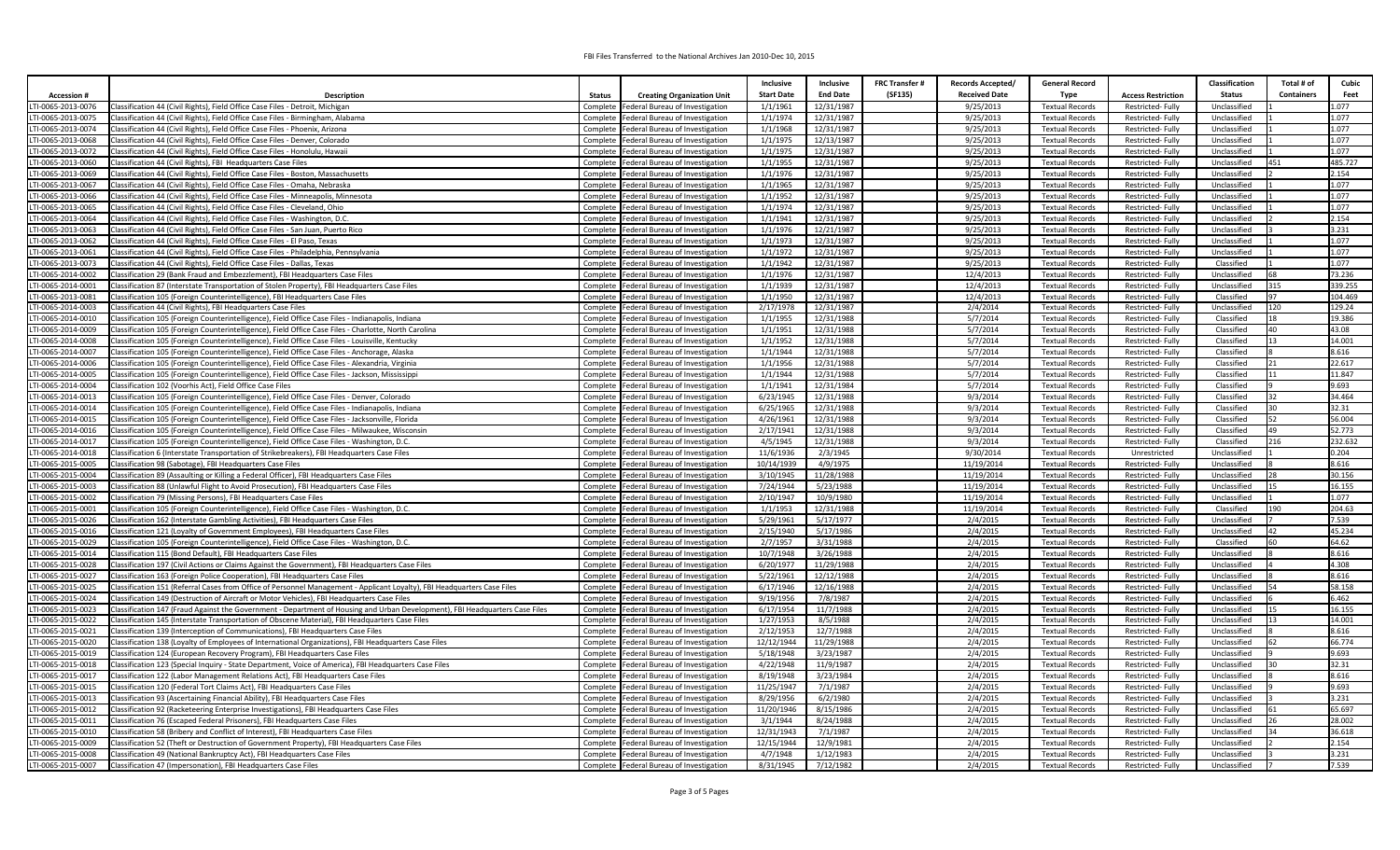|                                        |                                                                                                                                                                                            |                                                                                          | Inclusive         | Inclusive              | <b>FRC Transfer#</b> | Records Accepted/    | <b>General Record</b>                            |                                      | Classification               | Cubic<br>Total # of       |
|----------------------------------------|--------------------------------------------------------------------------------------------------------------------------------------------------------------------------------------------|------------------------------------------------------------------------------------------|-------------------|------------------------|----------------------|----------------------|--------------------------------------------------|--------------------------------------|------------------------------|---------------------------|
| <b>Accession#</b>                      | Description                                                                                                                                                                                | <b>Status</b>                                                                            | <b>Start Date</b> | <b>End Date</b>        | (SF135)              | <b>Received Date</b> | <b>Type</b>                                      | <b>Access Restriction</b>            | <b>Status</b>                | <b>Containers</b><br>Feet |
|                                        |                                                                                                                                                                                            | <b>Creating Organization Unit</b>                                                        |                   |                        |                      |                      |                                                  | <b>Restricted-Fully</b>              |                              |                           |
| TI-0065-2013-0076                      | Classification 44 (Civil Rights), Field Office Case Files - Detroit, Michigan                                                                                                              | Complete   Federal Bureau of Investigation                                               | 1/1/1961          | 12/31/1987             |                      | 9/25/2013            | <b>Textual Records</b>                           |                                      | Unclassified<br>Unclassified | 1.077<br>1.077            |
| TI-0065-2013-0075                      | Classification 44 (Civil Rights), Field Office Case Files - Birmingham, Alabama                                                                                                            | Complete Federal Bureau of Investigation                                                 | 1/1/1974          | 12/31/1987             |                      | 9/25/2013            | <b>Textual Records</b>                           | Restricted-Fully                     | Unclassified                 | 1.077                     |
| TI-0065-2013-0074                      | Classification 44 (Civil Rights), Field Office Case Files - Phoenix, Arizona                                                                                                               | Complete   Federal Bureau of Investigation                                               | 1/1/1968          | 12/31/1987             |                      | 9/25/2013            | <b>Textual Records</b>                           | Restricted-Fully                     |                              | 1.077                     |
| TI-0065-2013-0068                      | Classification 44 (Civil Rights), Field Office Case Files - Denver, Colorado                                                                                                               | Complete   Federal Bureau of Investigation                                               | 1/1/1975          | 12/13/1987             |                      | 9/25/2013            | <b>Textual Records</b>                           | Restricted-Fully                     | Unclassified                 |                           |
| TI-0065-2013-0072                      | Classification 44 (Civil Rights), Field Office Case Files - Honolulu, Hawaii                                                                                                               | Complete Federal Bureau of Investigation                                                 | 1/1/1975          | 12/31/1987             |                      | 9/25/2013            | <b>Textual Records</b>                           | Restricted-Fully                     | Unclassified                 | 1.077                     |
| TI-0065-2013-0060                      | Classification 44 (Civil Rights), FBI Headquarters Case Files                                                                                                                              | Complete Federal Bureau of Investigation                                                 | 1/1/1955          | 12/31/1987             |                      | 9/25/2013            | <b>Textual Records</b>                           | Restricted-Fully                     | Unclassified                 | 485.727<br>451            |
| TI-0065-2013-0069                      | Classification 44 (Civil Rights), Field Office Case Files - Boston, Massachusetts                                                                                                          | Complete Federal Bureau of Investigation                                                 | 1/1/1976          | 12/31/1987             |                      | 9/25/2013            | <b>Textual Records</b>                           | Restricted-Fully                     | Unclassified                 | 2.154                     |
| TI-0065-2013-0067                      | Classification 44 (Civil Rights), Field Office Case Files - Omaha, Nebraska                                                                                                                | Complete   Federal Bureau of Investigation                                               | 1/1/1965          | 12/31/1987             |                      | 9/25/2013            | <b>Textual Records</b>                           | <b>Restricted-Fully</b>              | Unclassified                 | 1.077                     |
| TI-0065-2013-0066                      | Classification 44 (Civil Rights), Field Office Case Files - Minneapolis, Minnesota                                                                                                         | Complete   Federal Bureau of Investigation                                               | 1/1/1952          | 12/31/1987             |                      | 9/25/2013            | <b>Textual Records</b>                           | Restricted-Fully                     | Unclassified                 | 1.077                     |
| TI-0065-2013-0065                      | Classification 44 (Civil Rights), Field Office Case Files - Cleveland, Ohio                                                                                                                | Complete Federal Bureau of Investigation                                                 | 1/1/1974          | 12/31/1987             |                      | 9/25/2013            | <b>Textual Records</b>                           | Restricted-Fully                     | Unclassified                 | 1.077                     |
| TI-0065-2013-0064                      | Classification 44 (Civil Rights), Field Office Case Files - Washington, D.C.                                                                                                               | Complete   Federal Bureau of Investigation                                               | 1/1/1941          | 12/31/1987             |                      | 9/25/2013            | <b>Textual Records</b>                           | Restricted-Fully                     | Unclassified                 | 2.154                     |
| TI-0065-2013-0063                      | Classification 44 (Civil Rights), Field Office Case Files - San Juan, Puerto Rico                                                                                                          | Complete Federal Bureau of Investigation                                                 | 1/1/1976          | 12/21/1987             |                      | 9/25/2013            | <b>Textual Records</b>                           | Restricted-Fully                     | Unclassified                 | 3.231                     |
| TI-0065-2013-0062                      | Classification 44 (Civil Rights), Field Office Case Files - El Paso, Texas                                                                                                                 | Complete   Federal Bureau of Investigation                                               | 1/1/1973          | 12/31/1987             |                      | 9/25/2013            | <b>Textual Records</b>                           | Restricted-Fully                     | Unclassified                 | 1.077                     |
| TI-0065-2013-0061                      | Classification 44 (Civil Rights), Field Office Case Files - Philadelphia, Pennsylvania                                                                                                     | Complete   Federal Bureau of Investigation                                               | 1/1/1972          | 12/31/1987             |                      | 9/25/2013            | <b>Textual Records</b>                           | Restricted-Fully                     | Unclassified                 | 1.077                     |
| TI-0065-2013-0073                      | Classification 44 (Civil Rights), Field Office Case Files - Dallas, Texas                                                                                                                  | Complete   Federal Bureau of Investigation                                               | 1/1/1942          | 12/31/1987             |                      | 9/25/2013            | <b>Textual Records</b>                           | Restricted-Fully                     | Classified                   | 1.077                     |
| TI-0065-2014-0002                      | Classification 29 (Bank Fraud and Embezzlement), FBI Headquarters Case Files                                                                                                               | Complete Federal Bureau of Investigation                                                 | 1/1/1976          | 12/31/1987             |                      | 12/4/2013            | <b>Textual Records</b>                           | Restricted-Fully                     | Unclassified                 | 73.236                    |
| TI-0065-2014-0001                      | Classification 87 (Interstate Transportation of Stolen Property), FBI Headquarters Case Files                                                                                              | Complete   Federal Bureau of Investigation                                               | 1/1/1939          | 12/31/1987             |                      | 12/4/2013            | <b>Textual Records</b>                           | Restricted-Fully                     | Unclassified                 | 339.255<br>315            |
| TI-0065-2013-0081                      | Classification 105 (Foreign Counterintelligence), FBI Headquarters Case Files                                                                                                              | Complete   Federal Bureau of Investigation                                               | 1/1/1950          | 12/31/1987             |                      | 12/4/2013            | <b>Textual Records</b>                           | Restricted-Fully                     | Classified                   | 104.469                   |
| TI-0065-2014-0003                      | Classification 44 (Civil Rights), FBI Headquarters Case Files                                                                                                                              | Complete   Federal Bureau of Investigation                                               | 2/17/1978         | 12/31/1987             |                      | 2/4/2014             | <b>Textual Records</b>                           | Restricted-Fully                     | Unclassified                 | 129.24<br>120             |
| TI-0065-2014-0010                      | Classification 105 (Foreign Counterintelligence), Field Office Case Files - Indianapolis, Indiana                                                                                          | Complete   Federal Bureau of Investigation                                               | 1/1/1955          | 12/31/1988             |                      | 5/7/2014             | <b>Textual Records</b>                           | Restricted-Fully                     | Classified                   | 19.386<br>18              |
| TI-0065-2014-0009                      | Classification 105 (Foreign Counterintelligence), Field Office Case Files - Charlotte, North Carolina                                                                                      | Complete Federal Bureau of Investigation                                                 | 1/1/1951          | 12/31/1988             |                      | 5/7/2014             | <b>Textual Records</b>                           | Restricted-Fully                     | Classified                   | 43.08<br>40               |
| TI-0065-2014-0008                      | Classification 105 (Foreign Counterintelligence), Field Office Case Files - Louisville, Kentucky                                                                                           | Complete Federal Bureau of Investigation                                                 | 1/1/1952          | 12/31/1988             |                      | 5/7/2014             | <b>Textual Records</b>                           | <b>Restricted-Fully</b>              | Classified                   | 14.001<br>13              |
| TI-0065-2014-0007                      | Classification 105 (Foreign Counterintelligence), Field Office Case Files - Anchorage, Alaska                                                                                              | Complete   Federal Bureau of Investigation                                               | 1/1/1944          | 12/31/1988             |                      | 5/7/2014             | <b>Textual Records</b>                           | Restricted-Fully                     | Classified                   | 8.616                     |
| TI-0065-2014-0006                      | Classification 105 (Foreign Counterintelligence), Field Office Case Files - Alexandria, Virginia                                                                                           | Complete   Federal Bureau of Investigation                                               | 1/1/1956          | 12/31/1988             |                      | 5/7/2014             | <b>Textual Records</b>                           | Restricted-Fully                     | Classified                   | 22.617                    |
| TI-0065-2014-0005                      | Classification 105 (Foreign Counterintelligence), Field Office Case Files - Jackson, Mississippi                                                                                           | Complete Federal Bureau of Investigation                                                 | 1/1/1944          | 12/31/1988             |                      | 5/7/2014             | <b>Textual Records</b>                           | Restricted-Fully                     | Classified                   | 11.847                    |
| TI-0065-2014-0004                      | Classification 102 (Voorhis Act), Field Office Case Files                                                                                                                                  | Complete Federal Bureau of Investigation                                                 | 1/1/1941          | 12/31/1984             |                      | 5/7/2014             | <b>Textual Records</b>                           | Restricted-Fully                     | Classified                   | 9.693                     |
| TI-0065-2014-0013                      | Classification 105 (Foreign Counterintelligence), Field Office Case Files - Denver, Colorado                                                                                               | Complete   Federal Bureau of Investigation                                               | 6/23/1945         | 12/31/1988             |                      | 9/3/2014             | <b>Textual Records</b>                           | Restricted-Fully                     | Classified                   | 34.464<br>32              |
| TI-0065-2014-0014                      | Classification 105 (Foreign Counterintelligence), Field Office Case Files - Indianapolis, Indiana                                                                                          | Complete<br>Federal Bureau of Investigation                                              | 6/25/1965         | 12/31/1988             |                      | 9/3/2014             | <b>Textual Records</b>                           | Restricted-Fully                     | Classified                   | 32.31                     |
| TI-0065-2014-0015                      | Classification 105 (Foreign Counterintelligence), Field Office Case Files - Jacksonville, Florida                                                                                          | Complete Federal Bureau of Investigation                                                 | 4/26/1961         | 12/31/1988             |                      | 9/3/2014             | <b>Textual Records</b>                           | Restricted-Fully                     | Classified                   | 56.004<br>52              |
| TI-0065-2014-0016                      | Classification 105 (Foreign Counterintelligence), Field Office Case Files - Milwaukee, Wisconsin                                                                                           | Complete Federal Bureau of Investigation                                                 | 2/17/1941         | 12/31/1988             |                      | 9/3/2014             | <b>Textual Records</b>                           | Restricted-Fully                     | Classified                   | 52.773<br>10              |
| TI-0065-2014-0017                      | Classification 105 (Foreign Counterintelligence), Field Office Case Files - Washington, D.C.                                                                                               | Complete   Federal Bureau of Investigation                                               | 4/5/1945          | 12/31/1988             |                      | 9/3/2014             | <b>Textual Records</b>                           | <b>Restricted-Fully</b>              | Classified                   | 232.632<br>216            |
| TI-0065-2014-0018                      | Classification 6 (Interstate Transportation of Strikebreakers), FBI Headquarters Case Files                                                                                                | Complete   Federal Bureau of Investigation                                               | 11/6/1936         | 2/3/1945               |                      | 9/30/2014            | <b>Textual Records</b>                           | Unrestricted                         | Unclassified                 | 0.204                     |
| TI-0065-2015-0005                      | Classification 98 (Sabotage), FBI Headquarters Case Files                                                                                                                                  | Complete   Federal Bureau of Investigation                                               | 10/14/1939        | 4/9/1975               |                      | 11/19/2014           | <b>Textual Records</b>                           | Restricted-Fully                     | Unclassified                 | 8.616                     |
| TI-0065-2015-0004                      | Classification 89 (Assaulting or Killing a Federal Officer), FBI Headquarters Case Files                                                                                                   | Complete   Federal Bureau of Investigation                                               | 3/10/1945         | 11/28/1988             |                      | 11/19/2014           | <b>Textual Records</b>                           | Restricted-Fully                     | Unclassified                 | 30.156                    |
| TI-0065-2015-0003                      | Classification 88 (Unlawful Flight to Avoid Prosecution), FBI Headquarters Case Files                                                                                                      | Complete   Federal Bureau of Investigation                                               | 7/24/1944         | 5/23/1988              |                      | 11/19/2014           | <b>Textual Records</b>                           | Restricted-Fully                     | Unclassified                 | 16.155                    |
| TI-0065-2015-0002                      | Classification 79 (Missing Persons), FBI Headquarters Case Files                                                                                                                           | Complete   Federal Bureau of Investigation                                               | 2/10/1947         | 10/9/1980              |                      | 11/19/2014           | <b>Textual Records</b>                           | Restricted-Fully                     | Unclassified                 | 1.077                     |
| TI-0065-2015-0001                      | Classification 105 (Foreign Counterintelligence), Field Office Case Files - Washington, D.C.                                                                                               | Complete   Federal Bureau of Investigation                                               | 1/1/1953          | 12/31/1988             |                      | 11/19/2014           | <b>Textual Records</b>                           | Restricted-Fully                     | Classified                   | 204.63<br>190             |
| TI-0065-2015-0026                      | Classification 162 (Interstate Gambling Activities), FBI Headquarters Case Files                                                                                                           | Complete<br>Federal Bureau of Investigation                                              | 5/29/1961         | 5/17/1977              |                      | 2/4/2015             | <b>Textual Records</b>                           | Restricted-Fully                     | Unclassified                 | 7.539                     |
| TI-0065-2015-0016                      | Classification 121 (Loyalty of Government Employees), FBI Headquarters Case Files                                                                                                          | Complete   Federal Bureau of Investigation                                               | 2/15/1940         | 5/17/1986              |                      | 2/4/2015             | <b>Textual Records</b>                           | <b>Restricted-Fully</b>              | Unclassified                 | 45.234                    |
| TI-0065-2015-0029                      | Classification 105 (Foreign Counterintelligence), Field Office Case Files - Washington, D.C.                                                                                               | Complete Federal Bureau of Investigation                                                 | 2/7/1957          | 3/31/1988              |                      | 2/4/2015             | <b>Textual Records</b>                           | Restricted-Fully                     | Classified                   | 64.62                     |
| TI-0065-2015-0014                      | Classification 115 (Bond Default), FBI Headquarters Case Files                                                                                                                             | Complete   Federal Bureau of Investigation                                               | 10/7/1948         | 3/26/1988              |                      | 2/4/2015             | <b>Textual Records</b>                           | Restricted-Fully                     | Unclassified                 | 8.616                     |
| TI-0065-2015-0028                      | Classification 197 (Civil Actions or Claims Against the Government), FBI Headquarters Case Files                                                                                           | Complete   Federal Bureau of Investigation                                               | 6/20/1977         | 11/29/1988             |                      | 2/4/2015             | <b>Textual Records</b>                           | Restricted-Fully                     | Unclassified                 | 4.308                     |
| TI-0065-2015-0027                      | Classification 163 (Foreign Police Cooperation), FBI Headquarters Case Files                                                                                                               | Complete   Federal Bureau of Investigation                                               | 5/22/1961         | 12/12/1988             |                      | 2/4/2015             | <b>Textual Records</b>                           | Restricted-Fully                     | Unclassified                 | 8.616                     |
| TI-0065-2015-0025                      | Classification 151 (Referral Cases from Office of Personnel Management - Applicant Loyalty), FBI Headquarters Case Files                                                                   | Complete   Federal Bureau of Investigation                                               | 6/17/1946         | 12/16/1988             |                      | 2/4/2015             | <b>Textual Records</b>                           | Restricted-Fully                     | Unclassified                 | 58.158                    |
| TI-0065-2015-0024                      | Classification 149 (Destruction of Aircraft or Motor Vehicles), FBI Headquarters Case Files                                                                                                | Complete   Federal Bureau of Investigation                                               | 9/19/1956         | 7/8/1987               |                      | 2/4/2015             | <b>Textual Records</b>                           | Restricted-Fully                     | Unclassified                 | 6.462                     |
| TI-0065-2015-0023                      | Classification 147 (Fraud Against the Government - Department of Housing and Urban Development), FBI Headquarters Case Files                                                               | Complete Federal Bureau of Investigation                                                 | 6/17/1954         | 11/7/1988              |                      | 2/4/2015             | <b>Textual Records</b>                           | Restricted-Fully                     | Unclassified                 | 16.155                    |
| TI-0065-2015-0022                      | Classification 145 (Interstate Transportation of Obscene Material), FBI Headquarters Case Files                                                                                            | Complete   Federal Bureau of Investigation                                               | 1/27/1953         | 8/5/1988               |                      | 2/4/2015             | <b>Textual Records</b>                           | Restricted-Fully                     | Unclassified                 | 14.001                    |
| TI-0065-2015-0021                      | Classification 139 (Interception of Communications), FBI Headquarters Case Files                                                                                                           | Complete Federal Bureau of Investigation                                                 | 2/12/1953         | 12/7/1988              |                      | 2/4/2015             | <b>Textual Records</b>                           | Restricted-Fully                     | Unclassified                 | 8.616                     |
| TI-0065-2015-0020                      | Classification 138 (Loyalty of Employees of International Organizations), FBI Headquarters Case Files                                                                                      | Complete Federal Bureau of Investigation                                                 | 12/12/1944        | 11/29/1988             |                      | 2/4/2015             | <b>Textual Records</b>                           | <b>Restricted-Fully</b>              | Unclassified                 | 66.774                    |
| TI-0065-2015-0019                      | Classification 124 (European Recovery Program), FBI Headquarters Case Files                                                                                                                | Complete Federal Bureau of Investigation                                                 | 5/18/1948         | 3/23/1987              |                      | 2/4/2015             | <b>Textual Records</b>                           | Restricted-Fully                     | Unclassified                 | 9.693                     |
|                                        |                                                                                                                                                                                            |                                                                                          | 4/22/1948         |                        |                      | 2/4/2015             |                                                  |                                      | Unclassified                 | 32.31                     |
| TI-0065-2015-0018<br>TI-0065-2015-0017 | Classification 123 (Special Inquiry - State Department, Voice of America), FBI Headquarters Case Files<br>Classification 122 (Labor Management Relations Act), FBI Headquarters Case Files | Complete   Federal Bureau of Investigation<br>Complete   Federal Bureau of Investigation | 8/19/1948         | 11/9/1987<br>3/23/1984 |                      | 2/4/2015             | <b>Textual Records</b><br><b>Textual Records</b> | Restricted-Fully<br>Restricted-Fully | Unclassified                 | 8.616                     |
|                                        |                                                                                                                                                                                            |                                                                                          |                   |                        |                      |                      |                                                  |                                      |                              |                           |
| TI-0065-2015-0015                      | Classification 120 (Federal Tort Claims Act), FBI Headquarters Case Files                                                                                                                  | Complete Federal Bureau of Investigation                                                 | 11/25/1947        | 7/1/1987               |                      | 2/4/2015             | <b>Textual Records</b>                           | Restricted-Fully                     | Unclassified                 | 9.693<br>3.231            |
| TI-0065-2015-0013                      | Classification 93 (Ascertaining Financial Ability), FBI Headquarters Case Files                                                                                                            | Complete   Federal Bureau of Investigation                                               | 8/29/1956         | 6/2/1980               |                      | 2/4/2015             | <b>Textual Records</b>                           | Restricted-Fully                     | Unclassified                 |                           |
| TI-0065-2015-0012                      | Classification 92 (Racketeering Enterprise Investigations), FBI Headquarters Case Files                                                                                                    | Complete Federal Bureau of Investigation                                                 | 11/20/1946        | 8/15/1986              |                      | 2/4/2015             | <b>Textual Records</b>                           | <b>Restricted-Fully</b>              | Unclassified                 | 65.697                    |
| TI-0065-2015-0011                      | Classification 76 (Escaped Federal Prisoners), FBI Headquarters Case Files                                                                                                                 | Complete Federal Bureau of Investigation                                                 | 3/1/1944          | 8/24/1988              |                      | 2/4/2015             | <b>Textual Records</b>                           | Restricted-Fully                     | Unclassified                 | 28.002                    |
| TI-0065-2015-0010                      | Classification 58 (Bribery and Conflict of Interest), FBI Headquarters Case Files                                                                                                          | Complete   Federal Bureau of Investigation                                               | 12/31/1943        | 7/1/1987               |                      | 2/4/2015             | <b>Textual Records</b>                           | Restricted-Fully                     | Unclassified                 | 36.618                    |
| TI-0065-2015-0009                      | Classification 52 (Theft or Destruction of Government Property), FBI Headquarters Case Files                                                                                               | Complete Federal Bureau of Investigation                                                 | 12/15/1944        | 12/9/1981              |                      | 2/4/2015             | <b>Textual Records</b>                           | Restricted-Fully                     | Unclassified                 | 2.154                     |
| TI-0065-2015-0008                      | Classification 49 (National Bankruptcy Act), FBI Headquarters Case Files                                                                                                                   | Complete   Federal Bureau of Investigation                                               | 4/7/1948          | 1/12/1983              |                      | 2/4/2015             | <b>Textual Records</b>                           | Restricted-Fully                     | Unclassified                 | 3.231                     |
| LTI-0065-2015-0007                     | Classification 47 (Impersonation), FBI Headquarters Case Files                                                                                                                             | Complete Federal Bureau of Investigation                                                 | 8/31/1945         | 7/12/1982              |                      | 2/4/2015             | <b>Textual Records</b>                           | Restricted-Fully                     | Unclassified                 | 7.539                     |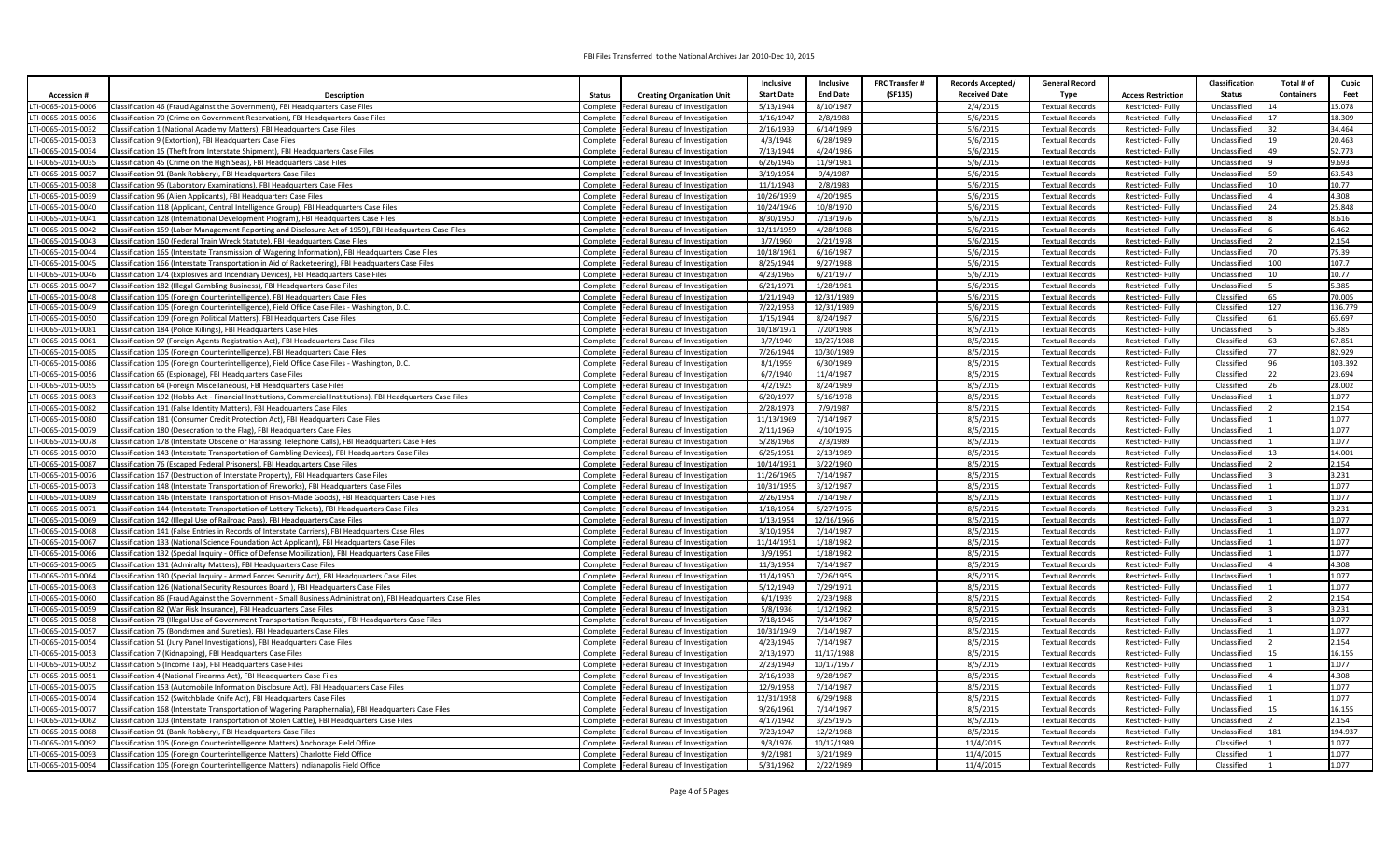|                   |                                                                                                               |               |                                            | Inclusive         | Inclusive       | <b>FRC Transfer#</b> | <b>Records Accepted/</b> | <b>General Record</b>  |                           | <b>Classification</b> | Total # of        | Cubic             |
|-------------------|---------------------------------------------------------------------------------------------------------------|---------------|--------------------------------------------|-------------------|-----------------|----------------------|--------------------------|------------------------|---------------------------|-----------------------|-------------------|-------------------|
|                   |                                                                                                               |               |                                            | <b>Start Date</b> | <b>End Date</b> | (SF135)              | <b>Received Date</b>     | <b>Type</b>            |                           | <b>Status</b>         | <b>Containers</b> | Feet              |
| <b>Accession#</b> | <b>Description</b>                                                                                            | <b>Status</b> | <b>Creating Organization Unit</b>          |                   |                 |                      |                          |                        | <b>Access Restriction</b> |                       |                   | 15.078            |
| TI-0065-2015-0006 | Classification 46 (Fraud Against the Government), FBI Headquarters Case Files                                 |               | Complete Federal Bureau of Investigation   | 5/13/1944         | 8/10/1987       |                      | 2/4/2015                 | <b>Textual Records</b> | Restricted-Fully          | Unclassified          |                   | 18.309            |
| TI-0065-2015-0036 | Classification 70 (Crime on Government Reservation), FBI Headquarters Case Files                              | Complete      | Federal Bureau of Investigation            | 1/16/1947         | 2/8/1988        |                      | 5/6/2015                 | <b>Textual Records</b> | Restricted-Fully          | Unclassified          |                   |                   |
| TI-0065-2015-0032 | Classification 1 (National Academy Matters), FBI Headquarters Case Files                                      |               | Complete   Federal Bureau of Investigation | 2/16/1939         | 6/14/1989       |                      | 5/6/2015                 | <b>Textual Records</b> | Restricted-Fully          | Unclassified          |                   | 34.464            |
| TI-0065-2015-0033 | Classification 9 (Extortion), FBI Headquarters Case Files                                                     | Complete      | Federal Bureau of Investigation            | 4/3/1948          | 6/28/1989       |                      | 5/6/2015                 | <b>Textual Records</b> | Restricted-Fully          | Unclassified          |                   | 20.463            |
| TI-0065-2015-0034 | lassification 15 (Theft from Interstate Shipment), FBI Headquarters Case Files                                | Complete      | Federal Bureau of Investigation            | 7/13/1944         | 4/24/1986       |                      | 5/6/2015                 | <b>Textual Records</b> | Restricted-Fully          | Unclassified          |                   | 52.773            |
| TI-0065-2015-0035 | Classification 45 (Crime on the High Seas), FBI Headquarters Case Files                                       | Complete      | Federal Bureau of Investigation            | 6/26/1946         | 11/9/1981       |                      | 5/6/2015                 | <b>Textual Records</b> | Restricted-Fully          | Unclassified          |                   | 9.693             |
| TI-0065-2015-0037 | Classification 91 (Bank Robbery), FBI Headquarters Case Files                                                 | Complete      | Federal Bureau of Investigation            | 3/19/1954         | 9/4/1987        |                      | 5/6/2015                 | <b>Textual Records</b> | Restricted-Fully          | Unclassified          | 59                | 63.543            |
| TI-0065-2015-0038 | Classification 95 (Laboratory Examinations). FBI Headquarters Case Files                                      | Complete      | Federal Bureau of Investigation            | 11/1/1943         | 2/8/1983        |                      | 5/6/2015                 | <b>Textual Records</b> | <b>Restricted-Fully</b>   | Unclassified          |                   | 10.77             |
| TI-0065-2015-0039 | Classification 96 (Alien Applicants), FBI Headquarters Case Files                                             | Complete      | Federal Bureau of Investigation            | 10/26/1939        | 4/20/1985       |                      | 5/6/2015                 | <b>Textual Records</b> | Restricted-Fully          | Unclassified          |                   | 4.308             |
| TI-0065-2015-0040 | Classification 118 (Applicant, Central Intelligence Group), FBI Headquarters Case Files                       |               | Complete   Federal Bureau of Investigation | 10/24/1946        | 10/8/1970       |                      | 5/6/2015                 | <b>Textual Records</b> | Restricted-Fully          | Unclassified          |                   | 25.848            |
| TI-0065-2015-0041 | Classification 128 (International Development Program), FBI Headquarters Case Files                           |               | Complete   Federal Bureau of Investigation | 8/30/1950         | 7/13/1976       |                      | 5/6/2015                 | <b>Textual Records</b> | Restricted-Fully          | Unclassified          |                   | 8.616             |
| TI-0065-2015-0042 | Classification 159 (Labor Management Reporting and Disclosure Act of 1959), FBI Headquarters Case Files       | Complete      | Federal Bureau of Investigation            | 12/11/1959        | 4/28/1988       |                      | 5/6/2015                 | <b>Textual Records</b> | Restricted-Fully          | Unclassified          |                   | 6.462             |
| TI-0065-2015-0043 | Classification 160 (Federal Train Wreck Statute), FBI Headquarters Case Files                                 | Complete      | Federal Bureau of Investigation            | 3/7/1960          | 2/21/1978       |                      | 5/6/2015                 | <b>Textual Records</b> | Restricted-Fully          | Unclassified          |                   | 2.154             |
| TI-0065-2015-0044 | Classification 165 (Interstate Transmission of Wagering Information), FBI Headquarters Case Files             | Complete      | Federal Bureau of Investigation            | 10/18/1961        | 6/16/1987       |                      | 5/6/2015                 | <b>Textual Records</b> | Restricted-Fully          | Unclassified          |                   | 75.39             |
| TI-0065-2015-0045 | Classification 166 (Interstate Transportation in Aid of Racketeering), FBI Headquarters Case Files            | Complete      | Federal Bureau of Investigation            | 8/25/1944         | 9/27/1988       |                      | 5/6/2015                 | <b>Textual Records</b> | Restricted-Fully          | Unclassified          | 100               | 107.7             |
| TI-0065-2015-0046 | Classification 174 (Explosives and Incendiary Devices), FBI Headquarters Case Files                           |               | Complete   Federal Bureau of Investigation | 4/23/1965         | 6/21/1977       |                      | 5/6/2015                 | <b>Textual Records</b> | Restricted-Fully          | Unclassified          |                   | 10.77             |
| TI-0065-2015-0047 | Classification 182 (Illegal Gambling Business), FBI Headquarters Case Files                                   | Complete      | Federal Bureau of Investigation            | 6/21/1971         | 1/28/1981       |                      | 5/6/2015                 | <b>Textual Records</b> | <b>Restricted-Fully</b>   | Unclassified          |                   | 5.385             |
| TI-0065-2015-0048 | lassification 105 (Foreign Counterintelligence), FBI Headquarters Case Files                                  | Complete      | Federal Bureau of Investigation            | 1/21/1949         | 12/31/1989      |                      | 5/6/2015                 | <b>Textual Records</b> | Restricted-Fully          | Classified            |                   | 70.005            |
| TI-0065-2015-0049 | Classification 105 (Foreign Counterintelligence), Field Office Case Files - Washington, D.C.                  |               | Complete   Federal Bureau of Investigation | 7/22/1953         | 12/31/1989      |                      | 5/6/2015                 | <b>Textual Records</b> | Restricted-Fully          | Classified            | 127               | 136.779           |
| TI-0065-2015-0050 | Classification 109 (Foreign Political Matters), FBI Headquarters Case Files                                   |               | Complete Federal Bureau of Investigation   | 1/15/1944         | 8/24/1987       |                      | 5/6/2015                 | <b>Textual Records</b> | Restricted-Fully          | Classified            |                   | 65.697            |
| TI-0065-2015-0081 | Classification 184 (Police Killings), FBI Headquarters Case Files                                             |               | Complete   Federal Bureau of Investigation | 10/18/1971        | 7/20/1988       |                      | 8/5/2015                 | <b>Textual Records</b> | Restricted-Fully          | Unclassified          |                   | 5.385             |
| TI-0065-2015-0061 | Classification 97 (Foreign Agents Registration Act), FBI Headquarters Case Files                              | Complete      | Federal Bureau of Investigation            | 3/7/1940          | 10/27/1988      |                      | 8/5/2015                 | <b>Textual Records</b> | Restricted-Fully          | Classified            | 63                | 67.851            |
| TI-0065-2015-0085 | lassification 105 (Foreign Counterintelligence), FBI Headquarters Case Files                                  | Complete      | Federal Bureau of Investigation            | 7/26/1944         | 10/30/1989      |                      | 8/5/2015                 | <b>Textual Records</b> | Restricted-Fully          | Classified            | 77                | 82.929            |
|                   |                                                                                                               |               |                                            |                   |                 |                      |                          |                        |                           | Classified            |                   |                   |
| TI-0065-2015-0086 | Classification 105 (Foreign Counterintelligence), Field Office Case Files - Washington, D.C.                  | Complete      | Federal Bureau of Investigation            | 8/1/1959          | 6/30/1989       |                      | 8/5/2015                 | <b>Textual Records</b> | Restricted-Fully          |                       | 22                | 103.392<br>23.694 |
| TI-0065-2015-0056 | Classification 65 (Espionage), FBI Headquarters Case Files                                                    | Complete      | Federal Bureau of Investigation            | 6/7/1940          | 11/4/1987       |                      | 8/5/2015                 | <b>Textual Records</b> | Restricted-Fully          | Classified            |                   |                   |
| TI-0065-2015-0055 | Classification 64 (Foreign Miscellaneous), FBI Headquarters Case Files                                        | Complete      | Federal Bureau of Investigation            | 4/2/1925          | 8/24/1989       |                      | 8/5/2015                 | <b>Textual Records</b> | Restricted-Fully          | Classified            |                   | 28.002            |
| TI-0065-2015-0083 | Classification 192 (Hobbs Act - Financial Institutions, Commercial Institutions), FBI Headquarters Case Files | Complete      | Federal Bureau of Investigation            | 6/20/1977         | 5/16/1978       |                      | 8/5/2015                 | <b>Textual Records</b> | Restricted-Fully          | Unclassified          |                   | 1.077             |
| TI-0065-2015-0082 | Classification 191 (False Identity Matters), FBI Headquarters Case Files                                      | Complete      | Federal Bureau of Investigation            | 2/28/1973         | 7/9/1987        |                      | 8/5/2015                 | <b>Textual Records</b> | Restricted-Fully          | Unclassified          |                   | 2.154             |
| TI-0065-2015-0080 | Classification 181 (Consumer Credit Protection Act), FBI Headquarters Case Files                              |               | Complete Federal Bureau of Investigation   | 11/13/1969        | 7/14/1987       |                      | 8/5/2015                 | <b>Textual Records</b> | Restricted-Fully          | Unclassified          |                   | 1.077             |
| TI-0065-2015-0079 | Classification 180 (Desecration to the Flag), FBI Headquarters Case Files                                     | Complete      | Federal Bureau of Investigation            | 2/11/1969         | 4/10/1975       |                      | 8/5/2015                 | <b>Textual Records</b> | Restricted-Fully          | Unclassified          |                   | 1.077             |
| TI-0065-2015-0078 | Classification 178 (Interstate Obscene or Harassing Telephone Calls), FBI Headquarters Case Files             |               | Complete Federal Bureau of Investigation   | 5/28/1968         | 2/3/1989        |                      | 8/5/2015                 | <b>Textual Records</b> | Restricted-Fully          | Unclassified          |                   | 1.077             |
| TI-0065-2015-0070 | Classification 143 (Interstate Transportation of Gambling Devices), FBI Headquarters Case Files               | Complete      | Federal Bureau of Investigation            | 6/25/1951         | 2/13/1989       |                      | 8/5/2015                 | <b>Textual Records</b> | Restricted-Fully          | Unclassified          |                   | 14.001            |
| TI-0065-2015-0087 | Classification 76 (Escaped Federal Prisoners), FBI Headquarters Case Files                                    | Complete      | Federal Bureau of Investigation            | 10/14/1931        | 3/22/1960       |                      | 8/5/2015                 | <b>Textual Records</b> | Restricted-Fully          | Unclassified          |                   | 2.154             |
| TI-0065-2015-0076 | Classification 167 (Destruction of Interstate Property), FBI Headquarters Case Files                          |               | Complete   Federal Bureau of Investigation | 11/26/1965        | 7/14/1987       |                      | 8/5/2015                 | <b>Textual Records</b> | Restricted-Fully          | Unclassified          |                   | 3.231             |
| TI-0065-2015-0073 | Classification 148 (Interstate Transportation of Fireworks), FBI Headquarters Case Files                      | Complete      | Federal Bureau of Investigation            | 10/31/1955        | 3/12/1987       |                      | 8/5/2015                 | <b>Textual Records</b> | Restricted-Fully          | Unclassified          |                   | 1.077             |
| TI-0065-2015-0089 | lassification 146 (Interstate Transportation of Prison-Made Goods), FBI Headquarters Case Files               | Complete      | Federal Bureau of Investigation            | 2/26/1954         | 7/14/1987       |                      | 8/5/2015                 | <b>Textual Records</b> | Restricted-Fully          | Unclassified          |                   | 1.077             |
| TI-0065-2015-0071 | Classification 144 (Interstate Transportation of Lottery Tickets), FBI Headquarters Case Files                | Complete      | Federal Bureau of Investigation            | 1/18/1954         | 5/27/1975       |                      | 8/5/2015                 | <b>Textual Records</b> | <b>Restricted-Fully</b>   | Unclassified          |                   | 3.231             |
| TI-0065-2015-0069 | Classification 142 (Illegal Use of Railroad Pass), FBI Headquarters Case Files                                | Complete      | Federal Bureau of Investigation            | 1/13/1954         | 12/16/1966      |                      | 8/5/2015                 | <b>Textual Records</b> | Restricted-Fully          | Unclassified          |                   | 1.077             |
| TI-0065-2015-0068 | Classification 141 (False Entries in Records of Interstate Carriers), FBI Headquarters Case Files             | Complete      | Federal Bureau of Investigation            | 3/10/1954         | 7/14/1987       |                      | 8/5/2015                 | <b>Textual Records</b> | Restricted-Fully          | Unclassified          |                   | 1.077             |
| TI-0065-2015-0067 | Classification 133 (National Science Foundation Act Applicant). FBI Headquarters Case Files                   |               | Complete   Federal Bureau of Investigation | 11/14/1951        | 1/18/1982       |                      | 8/5/2015                 | <b>Textual Records</b> | <b>Restricted-Fully</b>   | Unclassified          |                   | 1.077             |
| TI-0065-2015-0066 | lassification 132 (Special Inquiry - Office of Defense Mobilization), FBI Headquarters Case Files             |               | Complete   Federal Bureau of Investigation | 3/9/1951          | 1/18/1982       |                      | 8/5/2015                 | <b>Textual Records</b> | Restricted-Fully          | Unclassified          |                   | 1.077             |
| TI-0065-2015-0065 | Classification 131 (Admiralty Matters), FBI Headquarters Case Files                                           |               | Complete   Federal Bureau of Investigation | 11/3/1954         | 7/14/1987       |                      | 8/5/2015                 | <b>Textual Records</b> | Restricted-Fully          | Unclassified          |                   | 4.308             |
| TI-0065-2015-0064 | Classification 130 (Special Inquiry - Armed Forces Security Act), FBI Headquarters Case Files                 | Complete      | Federal Bureau of Investigation            | 11/4/1950         | 7/26/1955       |                      | 8/5/2015                 | <b>Textual Records</b> | Restricted-Fully          | Unclassified          |                   | 1.077             |
| TI-0065-2015-0063 | Classification 126 (National Security Resources Board), FBI Headquarters Case Files                           | Complete      | Federal Bureau of Investigation            | 5/12/1949         | 7/29/1971       |                      | 8/5/2015                 | <b>Textual Records</b> | Restricted-Fully          | Unclassified          |                   | 1.077             |
| TI-0065-2015-0060 | Classification 86 (Fraud Against the Government - Small Business Administration), FBI Headquarters Case Files | Complete      | Federal Bureau of Investigation            | 6/1/1939          | 2/23/1988       |                      | 8/5/2015                 | <b>Textual Records</b> | Restricted-Fully          | Unclassified          |                   | 2.154             |
| TI-0065-2015-0059 | lassification 82 (War Risk Insurance), FBI Headquarters Case Files                                            | Complete      | Federal Bureau of Investigation            | 5/8/1936          | 1/12/1982       |                      | 8/5/2015                 | <b>Textual Records</b> | Restricted-Fully          | Unclassified          |                   | 3.231             |
| TI-0065-2015-0058 | Classification 78 (Illegal Use of Government Transportation Requests), FBI Headquarters Case Files            | Complete      | Federal Bureau of Investigation            | 7/18/1945         | 7/14/1987       |                      | 8/5/2015                 | <b>Textual Records</b> | Restricted-Fully          | Unclassified          |                   | 1.077             |
| TI-0065-2015-0057 | Classification 75 (Bondsmen and Sureties), FBI Headquarters Case Files                                        | Complete      | Federal Bureau of Investigation            | 10/31/1949        | 7/14/1987       |                      | 8/5/2015                 | <b>Textual Records</b> | Restricted-Fully          | Unclassified          |                   | 1.077             |
| TI-0065-2015-0054 | Classification 51 (Jury Panel Investigations), FBI Headquarters Case Files                                    |               | Complete   Federal Bureau of Investigation | 4/23/1945         | 7/14/1987       |                      | 8/5/2015                 | <b>Textual Records</b> | Restricted-Fully          | Unclassified          |                   | 2.154             |
|                   |                                                                                                               |               |                                            | 2/13/1970         | 11/17/1988      |                      | 8/5/2015                 |                        |                           | Unclassified          |                   | 16.155            |
| TI-0065-2015-0053 | Classification 7 (Kidnapping), FBI Headquarters Case Files                                                    | Complete      | Federal Bureau of Investigation            |                   |                 |                      |                          | <b>Textual Records</b> | Restricted-Fully          | Unclassified          |                   | 1.077             |
| TI-0065-2015-0052 | Classification 5 (Income Tax), FBI Headquarters Case Files                                                    |               | Complete   Federal Bureau of Investigation | 2/23/1949         | 10/17/1957      |                      | 8/5/2015                 | <b>Textual Records</b> | Restricted-Fully          |                       |                   | 4.308             |
| TI-0065-2015-0051 | Classification 4 (National Firearms Act), FBI Headquarters Case Files                                         |               | Complete   Federal Bureau of Investigation | 2/16/1938         | 9/28/1987       |                      | 8/5/2015                 | <b>Textual Records</b> | Restricted-Fully          | Unclassified          |                   |                   |
| TI-0065-2015-0075 | Classification 153 (Automobile Information Disclosure Act), FBI Headquarters Case Files                       | Complete      | Federal Bureau of Investigation            | 12/9/1958         | 7/14/1987       |                      | 8/5/2015                 | <b>Textual Records</b> | Restricted-Fully          | Unclassified          |                   | 1.077             |
| TI-0065-2015-0074 | Classification 152 (Switchblade Knife Act), FBI Headquarters Case Files                                       | Complete      | Federal Bureau of Investigation            | 12/31/1958        | 6/29/1988       |                      | 8/5/2015                 | <b>Textual Records</b> | Restricted-Fully          | Unclassified          |                   | 1.077             |
| TI-0065-2015-0077 | Classification 168 (Interstate Transportation of Wagering Paraphernalia), FBI Headquarters Case Files         | Complete      | Federal Bureau of Investigation            | 9/26/1961         | 7/14/1987       |                      | 8/5/2015                 | <b>Textual Records</b> | Restricted-Fully          | Unclassified          |                   | 16.155            |
| TI-0065-2015-0062 | Classification 103 (Interstate Transportation of Stolen Cattle), FBI Headquarters Case Files                  | Complete      | Federal Bureau of Investigation            | 4/17/1942         | 3/25/1975       |                      | 8/5/2015                 | <b>Textual Records</b> | Restricted-Fully          | Unclassified          |                   | 2.154             |
| TI-0065-2015-0088 | Classification 91 (Bank Robbery), FBI Headquarters Case Files                                                 |               | Complete   Federal Bureau of Investigation | 7/23/1947         | 12/2/1988       |                      | 8/5/2015                 | <b>Textual Records</b> | Restricted-Fully          | Unclassified          | 181               | 194.937           |
| TI-0065-2015-0092 | Classification 105 (Foreign Counterintelligence Matters) Anchorage Field Office                               | Complete      | Federal Bureau of Investigation            | 9/3/1976          | 10/12/1989      |                      | 11/4/2015                | <b>Textual Records</b> | <b>Restricted-Fully</b>   | Classified            |                   | 1.077             |
| TI-0065-2015-0093 | Classification 105 (Foreign Counterintelligence Matters) Charlotte Field Office                               |               | Complete   Federal Bureau of Investigation | 9/2/1981          | 3/21/1989       |                      | 11/4/2015                | <b>Textual Records</b> | <b>Restricted-Fully</b>   | Classified            |                   | 1.077             |
| TI-0065-2015-0094 | Classification 105 (Foreign Counterintelligence Matters) Indianapolis Field Office                            |               | Complete   Federal Bureau of Investigation | 5/31/1962         | 2/22/1989       |                      | 11/4/2015                | <b>Textual Records</b> | Restricted-Fully          | Classified            |                   | 1.077             |